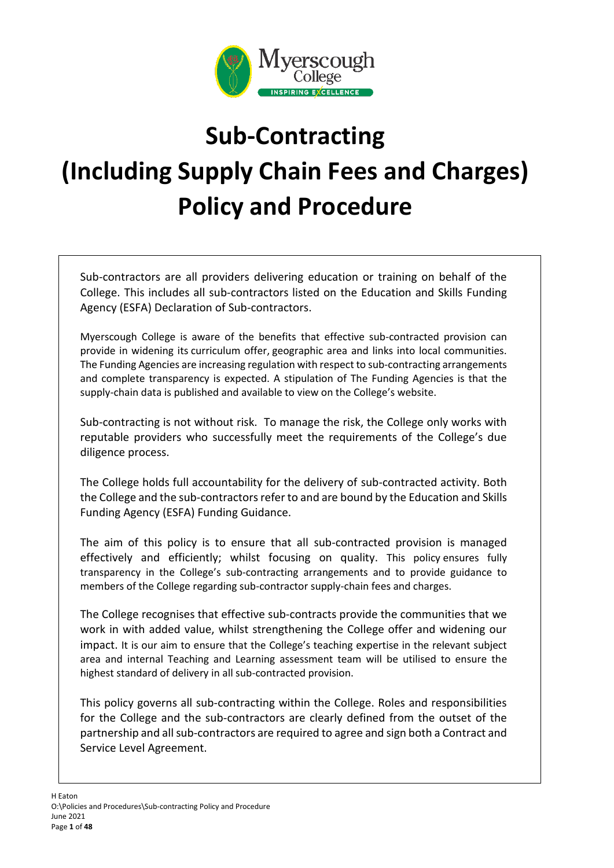

# **Sub-Contracting (Including Supply Chain Fees and Charges) Policy and Procedure**

Sub-contractors are all providers delivering education or training on behalf of the College. This includes all sub-contractors listed on the Education and Skills Funding Agency (ESFA) Declaration of Sub-contractors.

Myerscough College is aware of the benefits that effective sub-contracted provision can provide in widening its curriculum offer, geographic area and links into local communities. The Funding Agencies are increasing regulation with respect to sub-contracting arrangements and complete transparency is expected. A stipulation of The Funding Agencies is that the supply-chain data is published and available to view on the College's website.

Sub-contracting is not without risk. To manage the risk, the College only works with reputable providers who successfully meet the requirements of the College's due diligence process.

The College holds full accountability for the delivery of sub-contracted activity. Both the College and the sub-contractors refer to and are bound by the Education and Skills Funding Agency (ESFA) Funding Guidance.

The aim of this policy is to ensure that all sub-contracted provision is managed effectively and efficiently; whilst focusing on quality. This policy ensures fully transparency in the College's sub-contracting arrangements and to provide guidance to members of the College regarding sub-contractor supply-chain fees and charges.

The College recognises that effective sub-contracts provide the communities that we work in with added value, whilst strengthening the College offer and widening our impact. It is our aim to ensure that the College's teaching expertise in the relevant subject area and internal Teaching and Learning assessment team will be utilised to ensure the highest standard of delivery in all sub-contracted provision.

This policy governs all sub-contracting within the College. Roles and responsibilities for the College and the sub-contractors are clearly defined from the outset of the partnership and all sub-contractors are required to agree and sign both a Contract and Service Level Agreement.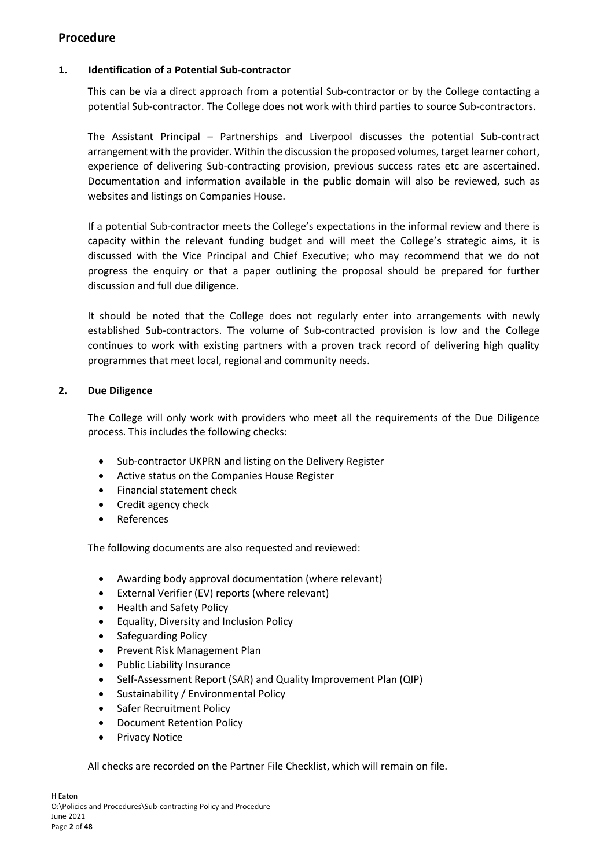# **Procedure**

# **1. Identification of a Potential Sub-contractor**

This can be via a direct approach from a potential Sub-contractor or by the College contacting a potential Sub-contractor. The College does not work with third parties to source Sub-contractors.

The Assistant Principal – Partnerships and Liverpool discusses the potential Sub-contract arrangement with the provider. Within the discussion the proposed volumes, target learner cohort, experience of delivering Sub-contracting provision, previous success rates etc are ascertained. Documentation and information available in the public domain will also be reviewed, such as websites and listings on Companies House.

If a potential Sub-contractor meets the College's expectations in the informal review and there is capacity within the relevant funding budget and will meet the College's strategic aims, it is discussed with the Vice Principal and Chief Executive; who may recommend that we do not progress the enquiry or that a paper outlining the proposal should be prepared for further discussion and full due diligence.

It should be noted that the College does not regularly enter into arrangements with newly established Sub-contractors. The volume of Sub-contracted provision is low and the College continues to work with existing partners with a proven track record of delivering high quality programmes that meet local, regional and community needs.

# **2. Due Diligence**

The College will only work with providers who meet all the requirements of the Due Diligence process. This includes the following checks:

- Sub-contractor UKPRN and listing on the Delivery Register
- Active status on the Companies House Register
- Financial statement check
- Credit agency check
- References

The following documents are also requested and reviewed:

- Awarding body approval documentation (where relevant)
- External Verifier (EV) reports (where relevant)
- Health and Safety Policy
- Equality, Diversity and Inclusion Policy
- Safeguarding Policy
- Prevent Risk Management Plan
- Public Liability Insurance
- Self-Assessment Report (SAR) and Quality Improvement Plan (QIP)
- Sustainability / Environmental Policy
- Safer Recruitment Policy
- Document Retention Policy
- Privacy Notice

All checks are recorded on the Partner File Checklist, which will remain on file.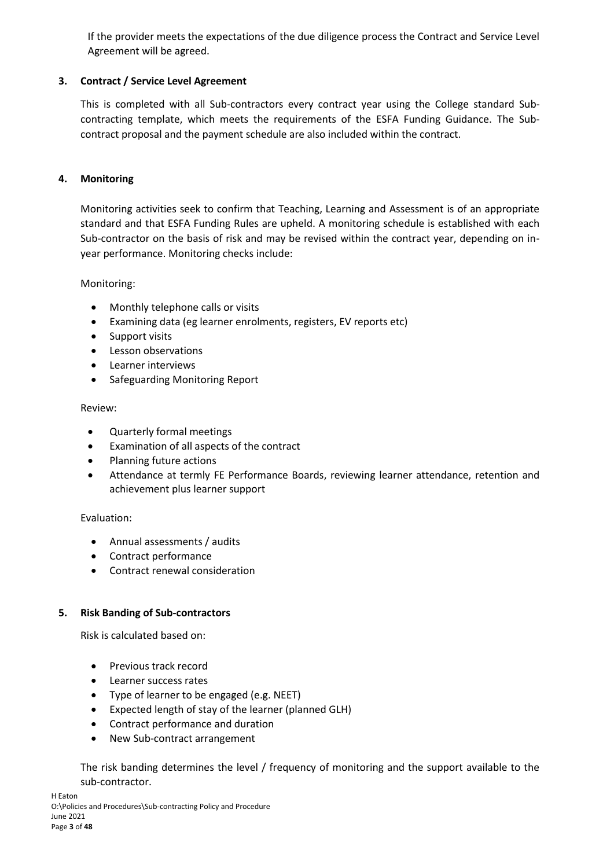If the provider meets the expectations of the due diligence process the Contract and Service Level Agreement will be agreed.

# **3. Contract / Service Level Agreement**

This is completed with all Sub-contractors every contract year using the College standard Subcontracting template, which meets the requirements of the ESFA Funding Guidance. The Subcontract proposal and the payment schedule are also included within the contract.

# **4. Monitoring**

Monitoring activities seek to confirm that Teaching, Learning and Assessment is of an appropriate standard and that ESFA Funding Rules are upheld. A monitoring schedule is established with each Sub-contractor on the basis of risk and may be revised within the contract year, depending on inyear performance. Monitoring checks include:

Monitoring:

- Monthly telephone calls or visits
- Examining data (eg learner enrolments, registers, EV reports etc)
- Support visits
- Lesson observations
- Learner interviews
- Safeguarding Monitoring Report

### Review:

- Quarterly formal meetings
- Examination of all aspects of the contract
- Planning future actions
- Attendance at termly FE Performance Boards, reviewing learner attendance, retention and achievement plus learner support

# Evaluation:

- Annual assessments / audits
- Contract performance
- Contract renewal consideration

# **5. Risk Banding of Sub-contractors**

Risk is calculated based on:

- Previous track record
- Learner success rates
- Type of learner to be engaged (e.g. NEET)
- Expected length of stay of the learner (planned GLH)
- Contract performance and duration
- New Sub-contract arrangement

The risk banding determines the level / frequency of monitoring and the support available to the sub-contractor.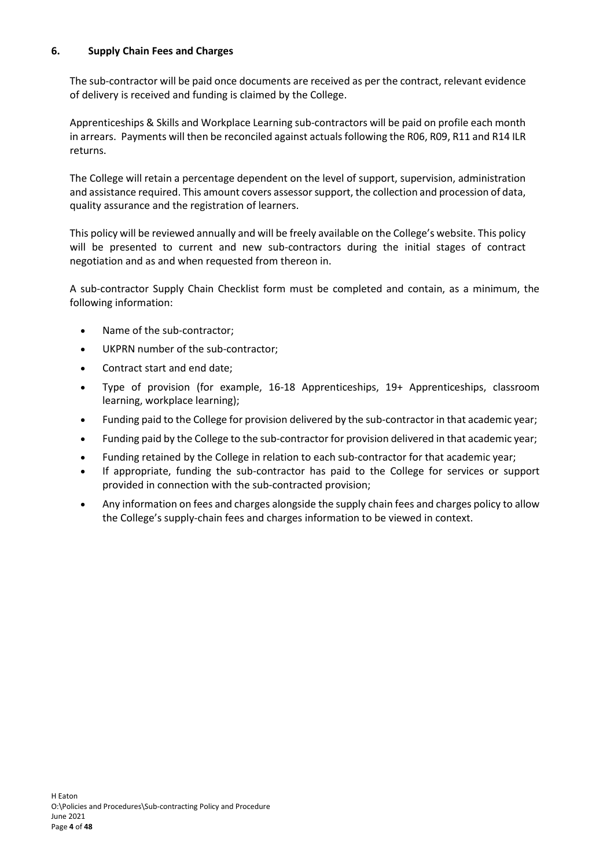# **6. Supply Chain Fees and Charges**

The sub-contractor will be paid once documents are received as per the contract, relevant evidence of delivery is received and funding is claimed by the College.

Apprenticeships & Skills and Workplace Learning sub-contractors will be paid on profile each month in arrears.  Payments will then be reconciled against actuals following the R06, R09, R11 and R14 ILR returns.

The College will retain a percentage dependent on the level of support, supervision, administration and assistance required. This amount covers assessor support, the collection and procession of data, quality assurance and the registration of learners.

This policy will be reviewed annually and will be freely available on the College's website. This policy will be presented to current and new sub-contractors during the initial stages of contract negotiation and as and when requested from thereon in.

A sub-contractor Supply Chain Checklist form must be completed and contain, as a minimum, the following information:

- Name of the sub-contractor;
- UKPRN number of the sub-contractor;
- Contract start and end date;
- Type of provision (for example, 16-18 Apprenticeships, 19+ Apprenticeships, classroom learning, workplace learning);
- Funding paid to the College for provision delivered by the sub-contractor in that academic year;
- Funding paid by the College to the sub-contractor for provision delivered in that academic year;
- Funding retained by the College in relation to each sub-contractor for that academic year;
- If appropriate, funding the sub-contractor has paid to the College for services or support provided in connection with the sub-contracted provision;
- Any information on fees and charges alongside the supply chain fees and charges policy to allow the College's supply-chain fees and charges information to be viewed in context.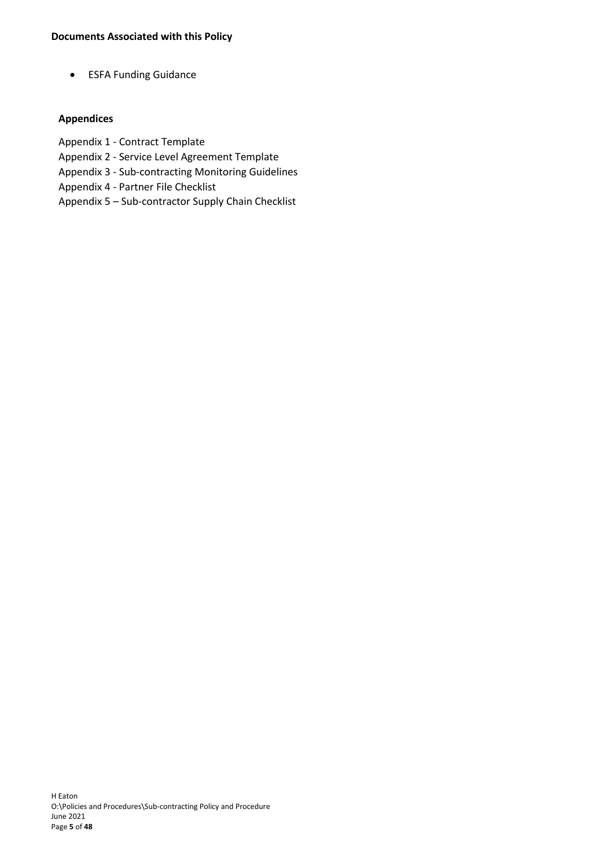• ESFA Funding Guidance

# **Appendices**

- Appendix 1 Contract Template
- Appendix 2 Service Level Agreement Template
- Appendix 3 Sub-contracting Monitoring Guidelines
- Appendix 4 Partner File Checklist
- Appendix 5 Sub-contractor Supply Chain Checklist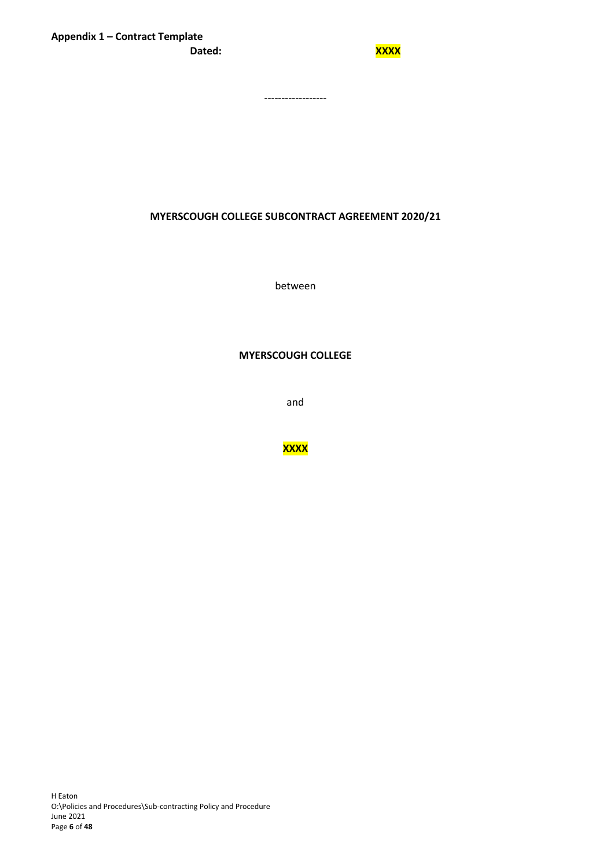------------------

#### **MYERSCOUGH COLLEGE SUBCONTRACT AGREEMENT 2020/21**

between

#### **MYERSCOUGH COLLEGE**

and

**XXXX**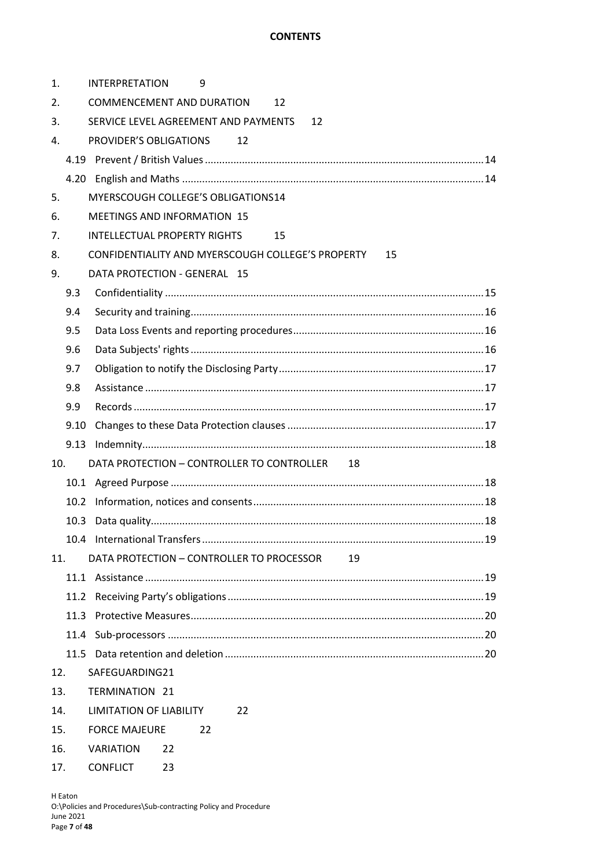# **CONTENTS**

| 1.  |      | <b>INTERPRETATION</b><br>9                              |  |
|-----|------|---------------------------------------------------------|--|
| 2.  |      | <b>COMMENCEMENT AND DURATION</b><br>12                  |  |
| 3.  |      | SERVICE LEVEL AGREEMENT AND PAYMENTS<br>12              |  |
| 4.  |      | PROVIDER'S OBLIGATIONS<br>12                            |  |
|     |      |                                                         |  |
|     |      |                                                         |  |
| 5.  |      | MYERSCOUGH COLLEGE'S OBLIGATIONS14                      |  |
| 6.  |      | <b>MEETINGS AND INFORMATION 15</b>                      |  |
| 7.  |      | INTELLECTUAL PROPERTY RIGHTS<br>15                      |  |
| 8.  |      | CONFIDENTIALITY AND MYERSCOUGH COLLEGE'S PROPERTY<br>15 |  |
| 9.  |      | DATA PROTECTION - GENERAL 15                            |  |
|     | 9.3  |                                                         |  |
|     | 9.4  |                                                         |  |
|     | 9.5  |                                                         |  |
|     | 9.6  |                                                         |  |
|     | 9.7  |                                                         |  |
|     | 9.8  |                                                         |  |
|     | 9.9  |                                                         |  |
|     | 9.10 |                                                         |  |
|     |      |                                                         |  |
| 10. |      | DATA PROTECTION - CONTROLLER TO CONTROLLER<br>18        |  |
|     |      |                                                         |  |
|     |      |                                                         |  |
|     | 10.3 |                                                         |  |
|     |      |                                                         |  |
| 11. |      | DATA PROTECTION - CONTROLLER TO PROCESSOR<br>19         |  |
|     |      |                                                         |  |
|     | 11.2 |                                                         |  |
|     | 11.3 |                                                         |  |
|     |      |                                                         |  |
|     | 11.5 |                                                         |  |
| 12. |      | SAFEGUARDING21                                          |  |
| 13. |      | <b>TERMINATION 21</b>                                   |  |
| 14. |      | LIMITATION OF LIABILITY<br>22                           |  |
| 15. |      | <b>FORCE MAJEURE</b><br>22                              |  |
| 16. |      | <b>VARIATION</b><br>22                                  |  |
| 17. |      | <b>CONFLICT</b><br>23                                   |  |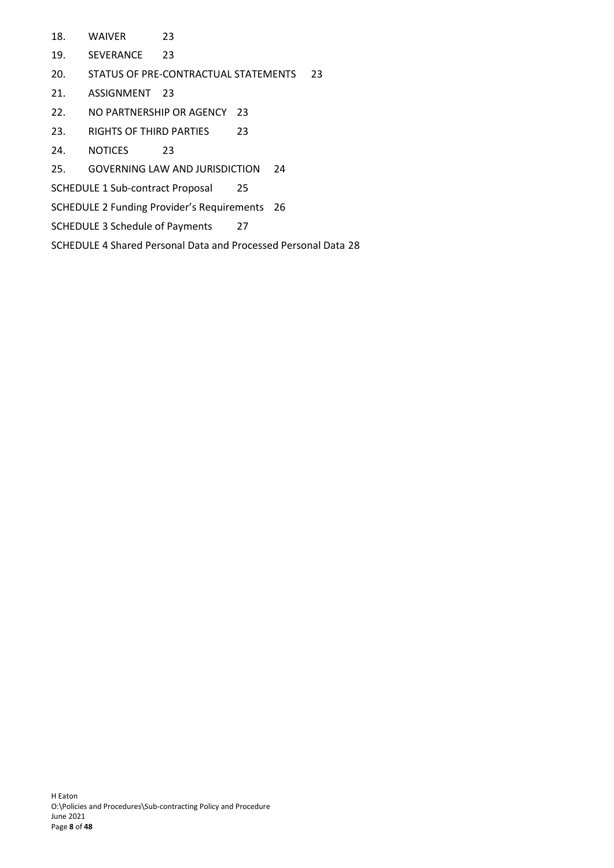- 18. [WAIVER](#page-22-1) 23
- 19. [SEVERANCE](#page-22-2) 23
- 20. [STATUS OF PRE-CONTRACTUAL STATEMENTS](#page-22-3) 23
- 21. [ASSIGNMENT](#page-22-4) 23
- 22. [NO PARTNERSHIP OR AGENCY](#page-22-5) 23
- 23. [RIGHTS OF THIRD PARTIES](#page-22-6) 23
- 24. [NOTICES](#page-22-7) 23
- 25. [GOVERNING LAW AND JURISDICTION](#page-23-0) 24
- SCHEDULE 1 [Sub-contract Proposal](#page-24-0) 25
- SCHEDULE 2 [Funding Provider's Requirements](#page-25-0) 26
- SCHEDULE 3 [Schedule of Payments](#page-26-0) 27
- SCHEDULE 4 [Shared Personal Data and Processed Personal Data](#page-27-0) 28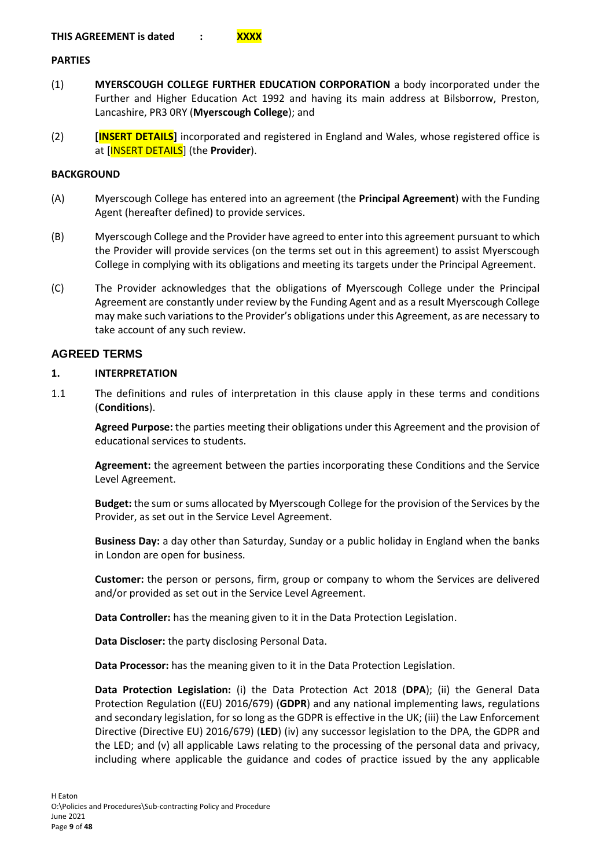#### **PARTIES**

- (1) **MYERSCOUGH COLLEGE FURTHER EDUCATION CORPORATION** a body incorporated under the Further and Higher Education Act 1992 and having its main address at Bilsborrow, Preston, Lancashire, PR3 0RY (**Myerscough College**); and
- (2) **[INSERT DETAILS]** incorporated and registered in England and Wales, whose registered office is at [INSERT DETAILS] (the **Provider**).

#### **BACKGROUND**

- (A) Myerscough College has entered into an agreement (the **Principal Agreement**) with the Funding Agent (hereafter defined) to provide services.
- (B) Myerscough College and the Provider have agreed to enter into this agreement pursuant to which the Provider will provide services (on the terms set out in this agreement) to assist Myerscough College in complying with its obligations and meeting its targets under the Principal Agreement.
- (C) The Provider acknowledges that the obligations of Myerscough College under the Principal Agreement are constantly under review by the Funding Agent and as a result Myerscough College may make such variations to the Provider's obligations under this Agreement, as are necessary to take account of any such review.

# **AGREED TERMS**

#### <span id="page-8-0"></span>**1. INTERPRETATION**

1.1 The definitions and rules of interpretation in this clause apply in these terms and conditions (**Conditions**).

**Agreed Purpose:** the parties meeting their obligations under this Agreement and the provision of educational services to students.

**Agreement:** the agreement between the parties incorporating these Conditions and the Service Level Agreement.

**Budget:** the sum or sums allocated by Myerscough College for the provision of the Services by the Provider, as set out in the Service Level Agreement.

**Business Day:** a day other than Saturday, Sunday or a public holiday in England when the banks in London are open for business.

**Customer:** the person or persons, firm, group or company to whom the Services are delivered and/or provided as set out in the Service Level Agreement.

**Data Controller:** has the meaning given to it in the Data Protection Legislation.

**Data Discloser:** the party disclosing Personal Data.

**Data Processor:** has the meaning given to it in the Data Protection Legislation.

**Data Protection Legislation:** (i) the Data Protection Act 2018 (**DPA**); (ii) the General Data Protection Regulation ((EU) 2016/679) (**GDPR**) and any national implementing laws, regulations and secondary legislation, for so long as the GDPR is effective in the UK; (iii) the Law Enforcement Directive (Directive EU) 2016/679) (**LED**) (iv) any successor legislation to the DPA, the GDPR and the LED; and (v) all applicable Laws relating to the processing of the personal data and privacy, including where applicable the guidance and codes of practice issued by the any applicable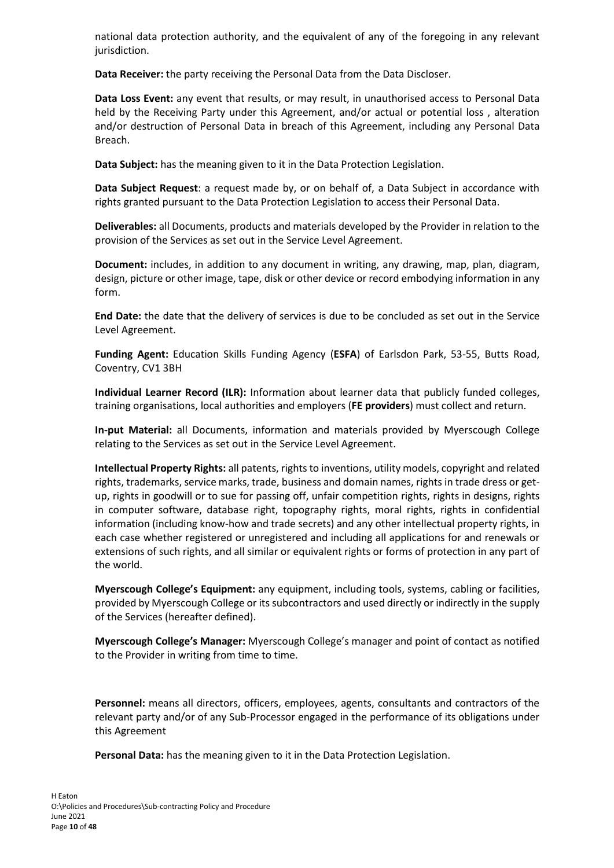national data protection authority, and the equivalent of any of the foregoing in any relevant jurisdiction.

**Data Receiver:** the party receiving the Personal Data from the Data Discloser.

**Data Loss Event:** any event that results, or may result, in unauthorised access to Personal Data held by the Receiving Party under this Agreement, and/or actual or potential loss , alteration and/or destruction of Personal Data in breach of this Agreement, including any Personal Data Breach.

**Data Subject:** has the meaning given to it in the Data Protection Legislation.

**Data Subject Request**: a request made by, or on behalf of, a Data Subject in accordance with rights granted pursuant to the Data Protection Legislation to access their Personal Data.

**Deliverables:** all Documents, products and materials developed by the Provider in relation to the provision of the Services as set out in the Service Level Agreement.

**Document:** includes, in addition to any document in writing, any drawing, map, plan, diagram, design, picture or other image, tape, disk or other device or record embodying information in any form.

**End Date:** the date that the delivery of services is due to be concluded as set out in the Service Level Agreement.

**Funding Agent:** Education Skills Funding Agency (**ESFA**) of Earlsdon Park, 53-55, Butts Road, Coventry, CV1 3BH

**Individual Learner Record (ILR):** Information about learner data that publicly funded colleges, training organisations, local authorities and employers (**FE providers**) must collect and return.

**In-put Material:** all Documents, information and materials provided by Myerscough College relating to the Services as set out in the Service Level Agreement.

**Intellectual Property Rights:** all patents, rights to inventions, utility models, copyright and related rights, trademarks, service marks, trade, business and domain names, rights in trade dress or getup, rights in goodwill or to sue for passing off, unfair competition rights, rights in designs, rights in computer software, database right, topography rights, moral rights, rights in confidential information (including know-how and trade secrets) and any other intellectual property rights, in each case whether registered or unregistered and including all applications for and renewals or extensions of such rights, and all similar or equivalent rights or forms of protection in any part of the world.

**Myerscough College's Equipment:** any equipment, including tools, systems, cabling or facilities, provided by Myerscough College or its subcontractors and used directly or indirectly in the supply of the Services (hereafter defined).

**Myerscough College's Manager:** Myerscough College's manager and point of contact as notified to the Provider in writing from time to time.

**Personnel:** means all directors, officers, employees, agents, consultants and contractors of the relevant party and/or of any Sub-Processor engaged in the performance of its obligations under this Agreement

**Personal Data:** has the meaning given to it in the Data Protection Legislation.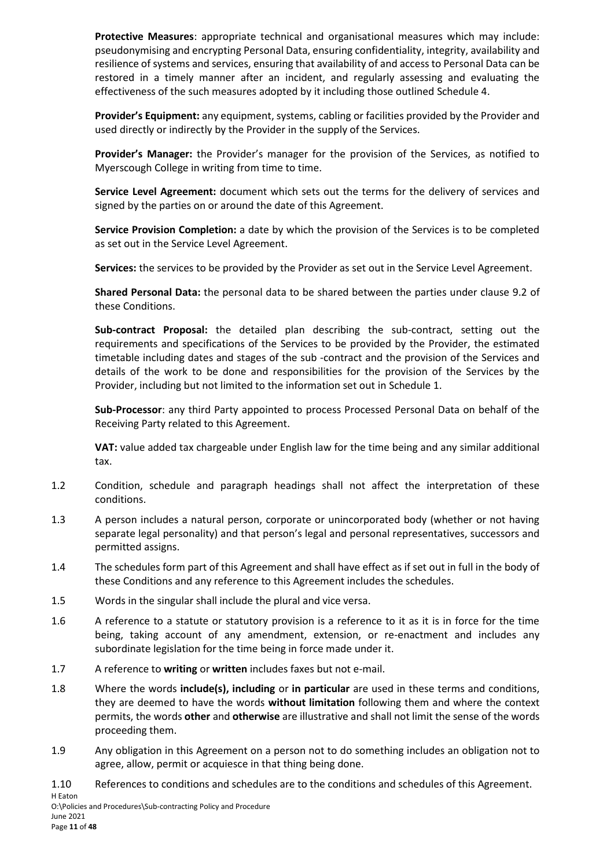**Protective Measures**: appropriate technical and organisational measures which may include: pseudonymising and encrypting Personal Data, ensuring confidentiality, integrity, availability and resilience of systems and services, ensuring that availability of and access to Personal Data can be restored in a timely manner after an incident, and regularly assessing and evaluating the effectiveness of the such measures adopted by it including those outlined [Schedule 4.](#page-27-0)

**Provider's Equipment:** any equipment, systems, cabling or facilities provided by the Provider and used directly or indirectly by the Provider in the supply of the Services.

**Provider's Manager:** the Provider's manager for the provision of the Services, as notified to Myerscough College in writing from time to time.

**Service Level Agreement:** document which sets out the terms for the delivery of services and signed by the parties on or around the date of this Agreement.

**Service Provision Completion:** a date by which the provision of the Services is to be completed as set out in the Service Level Agreement.

**Services:** the services to be provided by the Provider as set out in the Service Level Agreement.

**Shared Personal Data:** the personal data to be shared between the parties under clause [9.2](#page-14-5) of these Conditions.

**Sub-contract Proposal:** the detailed plan describing the sub-contract, setting out the requirements and specifications of the Services to be provided by the Provider, the estimated timetable including dates and stages of the sub -contract and the provision of the Services and details of the work to be done and responsibilities for the provision of the Services by the Provider, including but not limited to the information set out in [Schedule 1.](#page-24-0)

**Sub-Processor**: any third Party appointed to process Processed Personal Data on behalf of the Receiving Party related to this Agreement.

**VAT:** value added tax chargeable under English law for the time being and any similar additional tax.

- 1.2 Condition, schedule and paragraph headings shall not affect the interpretation of these conditions.
- 1.3 A person includes a natural person, corporate or unincorporated body (whether or not having separate legal personality) and that person's legal and personal representatives, successors and permitted assigns.
- 1.4 The schedules form part of this Agreement and shall have effect as if set out in full in the body of these Conditions and any reference to this Agreement includes the schedules.
- 1.5 Words in the singular shall include the plural and vice versa.
- 1.6 A reference to a statute or statutory provision is a reference to it as it is in force for the time being, taking account of any amendment, extension, or re-enactment and includes any subordinate legislation for the time being in force made under it.
- 1.7 A reference to **writing** or **written** includes faxes but not e-mail.
- 1.8 Where the words **include(s), including** or **in particular** are used in these terms and conditions, they are deemed to have the words **without limitation** following them and where the context permits, the words **other** and **otherwise** are illustrative and shall not limit the sense of the words proceeding them.
- 1.9 Any obligation in this Agreement on a person not to do something includes an obligation not to agree, allow, permit or acquiesce in that thing being done.

1.10 References to conditions and schedules are to the conditions and schedules of this Agreement.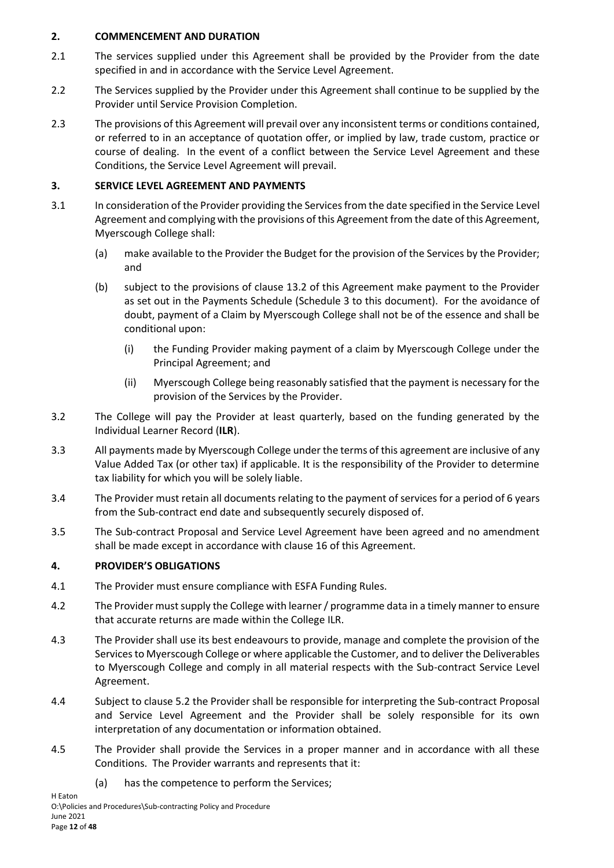# <span id="page-11-0"></span>**2. COMMENCEMENT AND DURATION**

- 2.1 The services supplied under this Agreement shall be provided by the Provider from the date specified in and in accordance with the Service Level Agreement.
- 2.2 The Services supplied by the Provider under this Agreement shall continue to be supplied by the Provider until Service Provision Completion.
- 2.3 The provisions of this Agreement will prevail over any inconsistent terms or conditions contained, or referred to in an acceptance of quotation offer, or implied by law, trade custom, practice or course of dealing. In the event of a conflict between the Service Level Agreement and these Conditions, the Service Level Agreement will prevail.

# <span id="page-11-1"></span>**3. SERVICE LEVEL AGREEMENT AND PAYMENTS**

- 3.1 In consideration of the Provider providing the Services from the date specified in the Service Level Agreement and complying with the provisions of this Agreement from the date of this Agreement, Myerscough College shall:
	- (a) make available to the Provider the Budget for the provision of the Services by the Provider; and
	- (b) subject to the provisions of clause [13.2](#page-20-2) of this Agreement make payment to the Provider as set out in the Payments Schedule [\(Schedule 3](#page-26-1) to this document). For the avoidance of doubt, payment of a Claim by Myerscough College shall not be of the essence and shall be conditional upon:
		- (i) the Funding Provider making payment of a claim by Myerscough College under the Principal Agreement; and
		- (ii) Myerscough College being reasonably satisfied that the payment is necessary for the provision of the Services by the Provider.
- 3.2 The College will pay the Provider at least quarterly, based on the funding generated by the Individual Learner Record (**ILR**).
- 3.3 All payments made by Myerscough College under the terms of this agreement are inclusive of any Value Added Tax (or other tax) if applicable. It is the responsibility of the Provider to determine tax liability for which you will be solely liable.
- 3.4 The Provider must retain all documents relating to the payment of services for a period of 6 years from the Sub-contract end date and subsequently securely disposed of.
- 3.5 The Sub-contract Proposal and Service Level Agreement have been agreed and no amendment shall be made except in accordance with clause [16](#page-21-2) of this Agreement.

# <span id="page-11-2"></span>**4. PROVIDER'S OBLIGATIONS**

- 4.1 The Provider must ensure compliance with ESFA Funding Rules.
- 4.2 The Provider must supply the College with learner / programme data in a timely manner to ensure that accurate returns are made within the College ILR.
- 4.3 The Provider shall use its best endeavours to provide, manage and complete the provision of the Services to Myerscough College or where applicable the Customer, and to deliver the Deliverables to Myerscough College and comply in all material respects with the Sub-contract Service Level Agreement.
- 4.4 Subject to clause [5.2](#page-14-6) the Provider shall be responsible for interpreting the Sub-contract Proposal and Service Level Agreement and the Provider shall be solely responsible for its own interpretation of any documentation or information obtained.
- 4.5 The Provider shall provide the Services in a proper manner and in accordance with all these Conditions. The Provider warrants and represents that it:
	- (a) has the competence to perform the Services;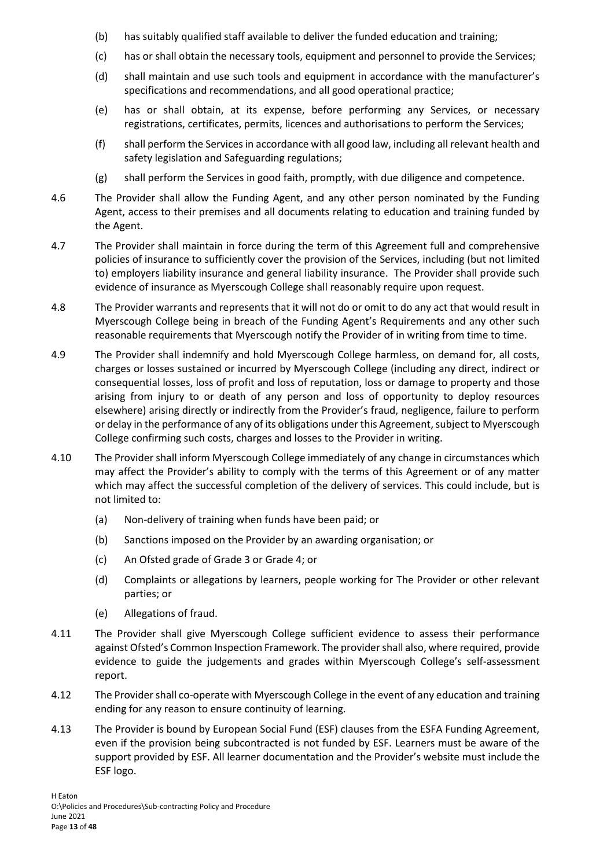- (b) has suitably qualified staff available to deliver the funded education and training;
- (c) has or shall obtain the necessary tools, equipment and personnel to provide the Services;
- (d) shall maintain and use such tools and equipment in accordance with the manufacturer's specifications and recommendations, and all good operational practice;
- (e) has or shall obtain, at its expense, before performing any Services, or necessary registrations, certificates, permits, licences and authorisations to perform the Services;
- (f) shall perform the Services in accordance with all good law, including all relevant health and safety legislation and Safeguarding regulations;
- (g) shall perform the Services in good faith, promptly, with due diligence and competence.
- 4.6 The Provider shall allow the Funding Agent, and any other person nominated by the Funding Agent, access to their premises and all documents relating to education and training funded by the Agent.
- 4.7 The Provider shall maintain in force during the term of this Agreement full and comprehensive policies of insurance to sufficiently cover the provision of the Services, including (but not limited to) employers liability insurance and general liability insurance. The Provider shall provide such evidence of insurance as Myerscough College shall reasonably require upon request.
- 4.8 The Provider warrants and represents that it will not do or omit to do any act that would result in Myerscough College being in breach of the Funding Agent's Requirements and any other such reasonable requirements that Myerscough notify the Provider of in writing from time to time.
- 4.9 The Provider shall indemnify and hold Myerscough College harmless, on demand for, all costs, charges or losses sustained or incurred by Myerscough College (including any direct, indirect or consequential losses, loss of profit and loss of reputation, loss or damage to property and those arising from injury to or death of any person and loss of opportunity to deploy resources elsewhere) arising directly or indirectly from the Provider's fraud, negligence, failure to perform or delay in the performance of any of its obligations under this Agreement, subject to Myerscough College confirming such costs, charges and losses to the Provider in writing.
- 4.10 The Provider shall inform Myerscough College immediately of any change in circumstances which may affect the Provider's ability to comply with the terms of this Agreement or of any matter which may affect the successful completion of the delivery of services. This could include, but is not limited to:
	- (a) Non-delivery of training when funds have been paid; or
	- (b) Sanctions imposed on the Provider by an awarding organisation; or
	- (c) An Ofsted grade of Grade 3 or Grade 4; or
	- (d) Complaints or allegations by learners, people working for The Provider or other relevant parties; or
	- (e) Allegations of fraud.
- 4.11 The Provider shall give Myerscough College sufficient evidence to assess their performance against Ofsted's Common Inspection Framework. The provider shall also, where required, provide evidence to guide the judgements and grades within Myerscough College's self-assessment report.
- 4.12 The Provider shall co-operate with Myerscough College in the event of any education and training ending for any reason to ensure continuity of learning.
- 4.13 The Provider is bound by European Social Fund (ESF) clauses from the ESFA Funding Agreement, even if the provision being subcontracted is not funded by ESF. Learners must be aware of the support provided by ESF. All learner documentation and the Provider's website must include the ESF logo.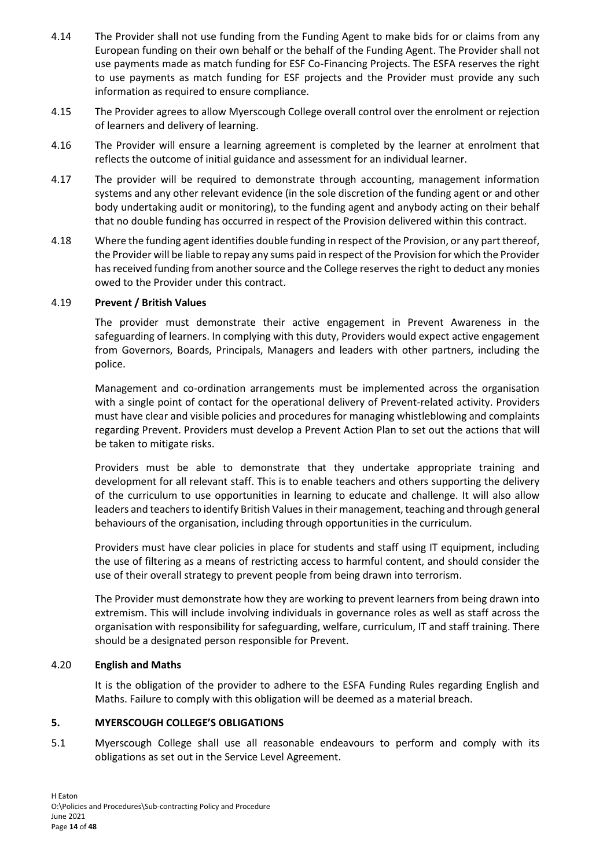- 4.14 The Provider shall not use funding from the Funding Agent to make bids for or claims from any European funding on their own behalf or the behalf of the Funding Agent. The Provider shall not use payments made as match funding for ESF Co-Financing Projects. The ESFA reserves the right to use payments as match funding for ESF projects and the Provider must provide any such information as required to ensure compliance.
- 4.15 The Provider agrees to allow Myerscough College overall control over the enrolment or rejection of learners and delivery of learning.
- 4.16 The Provider will ensure a learning agreement is completed by the learner at enrolment that reflects the outcome of initial guidance and assessment for an individual learner.
- 4.17 The provider will be required to demonstrate through accounting, management information systems and any other relevant evidence (in the sole discretion of the funding agent or and other body undertaking audit or monitoring), to the funding agent and anybody acting on their behalf that no double funding has occurred in respect of the Provision delivered within this contract.
- 4.18 Where the funding agent identifies double funding in respect of the Provision, or any part thereof, the Provider will be liable to repay any sums paid in respect of the Provision for which the Provider has received funding from another source and the College reserves the right to deduct any monies owed to the Provider under this contract.

#### <span id="page-13-0"></span>4.19 **Prevent / British Values**

The provider must demonstrate their active engagement in Prevent Awareness in the safeguarding of learners. In complying with this duty, Providers would expect active engagement from Governors, Boards, Principals, Managers and leaders with other partners, including the police.

Management and co-ordination arrangements must be implemented across the organisation with a single point of contact for the operational delivery of Prevent-related activity. Providers must have clear and visible policies and procedures for managing whistleblowing and complaints regarding Prevent. Providers must develop a Prevent Action Plan to set out the actions that will be taken to mitigate risks.

Providers must be able to demonstrate that they undertake appropriate training and development for all relevant staff. This is to enable teachers and others supporting the delivery of the curriculum to use opportunities in learning to educate and challenge. It will also allow leaders and teachers to identify British Values in their management, teaching and through general behaviours of the organisation, including through opportunities in the curriculum.

Providers must have clear policies in place for students and staff using IT equipment, including the use of filtering as a means of restricting access to harmful content, and should consider the use of their overall strategy to prevent people from being drawn into terrorism.

The Provider must demonstrate how they are working to prevent learners from being drawn into extremism. This will include involving individuals in governance roles as well as staff across the organisation with responsibility for safeguarding, welfare, curriculum, IT and staff training. There should be a designated person responsible for Prevent.

#### <span id="page-13-1"></span>4.20 **English and Maths**

It is the obligation of the provider to adhere to the ESFA Funding Rules regarding English and Maths. Failure to comply with this obligation will be deemed as a material breach.

# <span id="page-13-2"></span>**5. MYERSCOUGH COLLEGE'S OBLIGATIONS**

5.1 Myerscough College shall use all reasonable endeavours to perform and comply with its obligations as set out in the Service Level Agreement.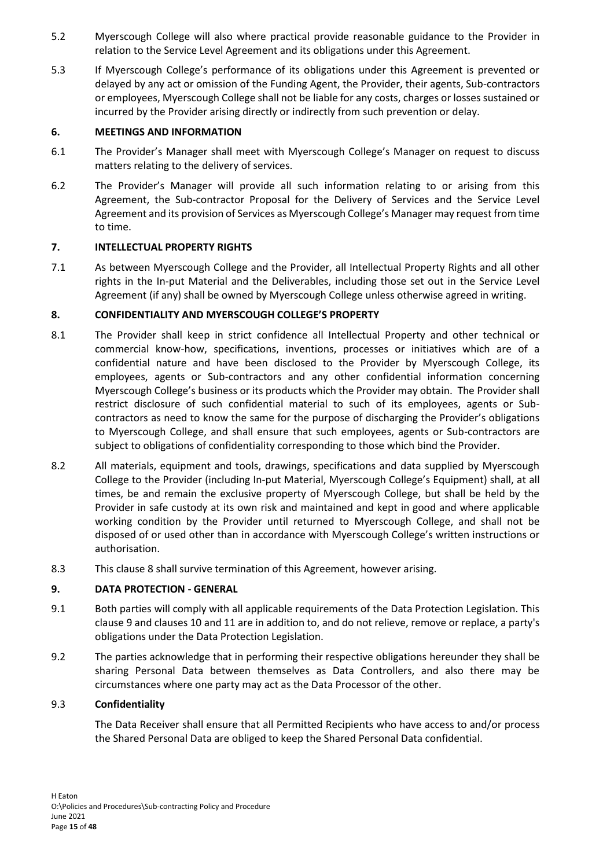- <span id="page-14-6"></span>5.2 Myerscough College will also where practical provide reasonable guidance to the Provider in relation to the Service Level Agreement and its obligations under this Agreement.
- 5.3 If Myerscough College's performance of its obligations under this Agreement is prevented or delayed by any act or omission of the Funding Agent, the Provider, their agents, Sub-contractors or employees, Myerscough College shall not be liable for any costs, charges or losses sustained or incurred by the Provider arising directly or indirectly from such prevention or delay.

# <span id="page-14-0"></span>**6. MEETINGS AND INFORMATION**

- 6.1 The Provider's Manager shall meet with Myerscough College's Manager on request to discuss matters relating to the delivery of services.
- 6.2 The Provider's Manager will provide all such information relating to or arising from this Agreement, the Sub-contractor Proposal for the Delivery of Services and the Service Level Agreement and its provision of Services as Myerscough College's Manager may request from time to time.

### <span id="page-14-1"></span>**7. INTELLECTUAL PROPERTY RIGHTS**

7.1 As between Myerscough College and the Provider, all Intellectual Property Rights and all other rights in the In-put Material and the Deliverables, including those set out in the Service Level Agreement (if any) shall be owned by Myerscough College unless otherwise agreed in writing.

### <span id="page-14-2"></span>**8. CONFIDENTIALITY AND MYERSCOUGH COLLEGE'S PROPERTY**

- 8.1 The Provider shall keep in strict confidence all Intellectual Property and other technical or commercial know-how, specifications, inventions, processes or initiatives which are of a confidential nature and have been disclosed to the Provider by Myerscough College, its employees, agents or Sub-contractors and any other confidential information concerning Myerscough College's business or its products which the Provider may obtain. The Provider shall restrict disclosure of such confidential material to such of its employees, agents or Subcontractors as need to know the same for the purpose of discharging the Provider's obligations to Myerscough College, and shall ensure that such employees, agents or Sub-contractors are subject to obligations of confidentiality corresponding to those which bind the Provider.
- 8.2 All materials, equipment and tools, drawings, specifications and data supplied by Myerscough College to the Provider (including In-put Material, Myerscough College's Equipment) shall, at all times, be and remain the exclusive property of Myerscough College, but shall be held by the Provider in safe custody at its own risk and maintained and kept in good and where applicable working condition by the Provider until returned to Myerscough College, and shall not be disposed of or used other than in accordance with Myerscough College's written instructions or authorisation.
- 8.3 This clause [8](#page-14-2) shall survive termination of this Agreement, however arising.

# <span id="page-14-3"></span>**9. DATA PROTECTION - GENERAL**

- 9.1 Both parties will comply with all applicable requirements of the Data Protection Legislation. This claus[e 9](#page-14-3) and clause[s 10](#page-17-1) and [11](#page-18-1) are in addition to, and do not relieve, remove or replace, a party's obligations under the Data Protection Legislation.
- <span id="page-14-5"></span>9.2 The parties acknowledge that in performing their respective obligations hereunder they shall be sharing Personal Data between themselves as Data Controllers, and also there may be circumstances where one party may act as the Data Processor of the other.

# <span id="page-14-4"></span>9.3 **Confidentiality**

The Data Receiver shall ensure that all Permitted Recipients who have access to and/or process the Shared Personal Data are obliged to keep the Shared Personal Data confidential.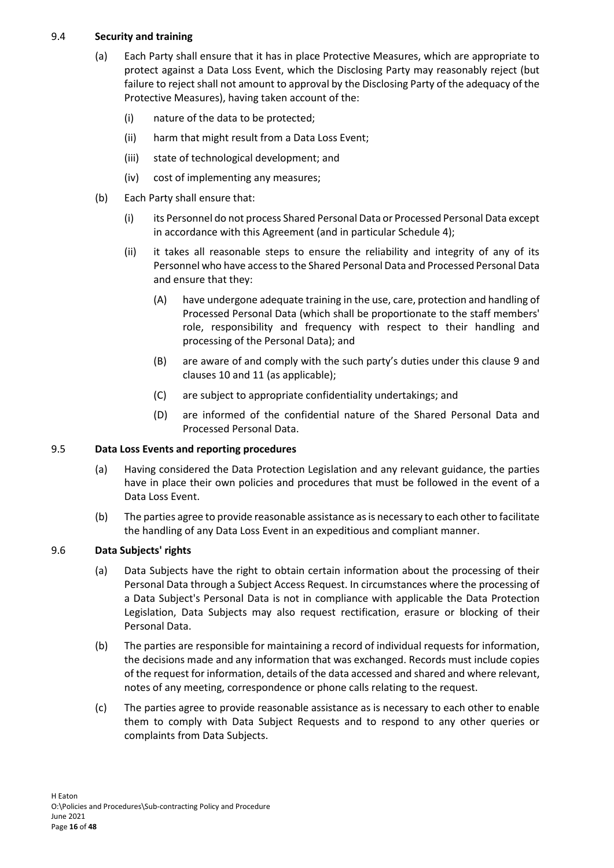# <span id="page-15-3"></span><span id="page-15-0"></span>9.4 **Security and training**

- (a) Each Party shall ensure that it has in place Protective Measures, which are appropriate to protect against a Data Loss Event, which the Disclosing Party may reasonably reject (but failure to reject shall not amount to approval by the Disclosing Party of the adequacy of the Protective Measures), having taken account of the:
	- (i) nature of the data to be protected;
	- (ii) harm that might result from a Data Loss Event;
	- (iii) state of technological development; and
	- (iv) cost of implementing any measures;
- (b) Each Party shall ensure that:
	- (i) its Personnel do not process Shared Personal Data or Processed Personal Data except in accordance with this Agreement (and in particular [Schedule 4\)](#page-27-0);
	- (ii) it takes all reasonable steps to ensure the reliability and integrity of any of its Personnel who have access to the Shared Personal Data and Processed Personal Data and ensure that they:
		- (A) have undergone adequate training in the use, care, protection and handling of Processed Personal Data (which shall be proportionate to the staff members' role, responsibility and frequency with respect to their handling and processing of the Personal Data); and
		- (B) are aware of and comply with the such party's duties under this clause [9](#page-14-3) and clauses [10](#page-17-1) and [11](#page-18-1) (as applicable);
		- (C) are subject to appropriate confidentiality undertakings; and
		- (D) are informed of the confidential nature of the Shared Personal Data and Processed Personal Data.

# <span id="page-15-1"></span>9.5 **Data Loss Events and reporting procedures**

- (a) Having considered the Data Protection Legislation and any relevant guidance, the parties have in place their own policies and procedures that must be followed in the event of a Data Loss Event.
- (b) The parties agree to provide reasonable assistance as is necessary to each other to facilitate the handling of any Data Loss Event in an expeditious and compliant manner.

# <span id="page-15-2"></span>9.6 **Data Subjects' rights**

- (a) Data Subjects have the right to obtain certain information about the processing of their Personal Data through a Subject Access Request. In circumstances where the processing of a Data Subject's Personal Data is not in compliance with applicable the Data Protection Legislation, Data Subjects may also request rectification, erasure or blocking of their Personal Data.
- (b) The parties are responsible for maintaining a record of individual requests for information, the decisions made and any information that was exchanged. Records must include copies of the request for information, details of the data accessed and shared and where relevant, notes of any meeting, correspondence or phone calls relating to the request.
- (c) The parties agree to provide reasonable assistance as is necessary to each other to enable them to comply with Data Subject Requests and to respond to any other queries or complaints from Data Subjects.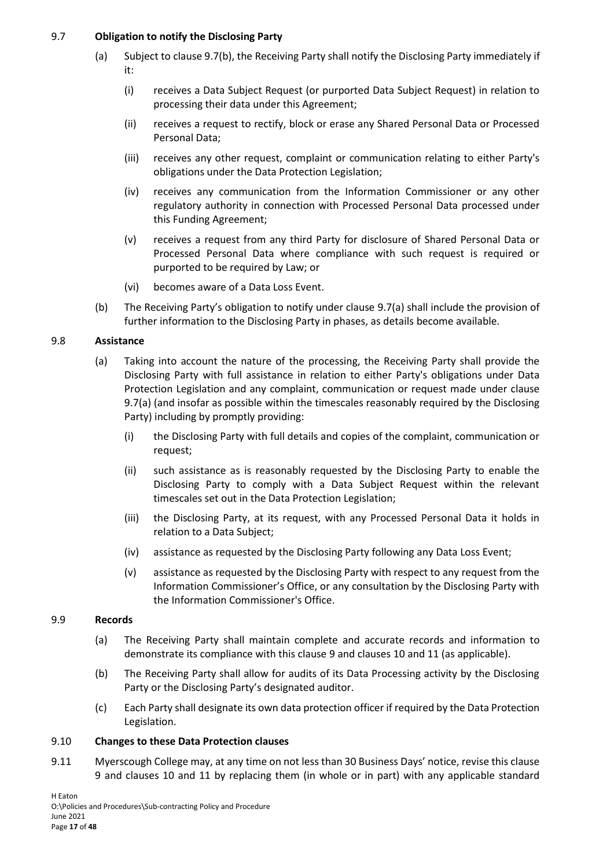# <span id="page-16-5"></span><span id="page-16-0"></span>9.7 **Obligation to notify the Disclosing Party**

- (a) Subject to claus[e 9.7\(b\),](#page-16-4) the Receiving Party shall notify the Disclosing Party immediately if it:
	- (i) receives a Data Subject Request (or purported Data Subject Request) in relation to processing their data under this Agreement;
	- (ii) receives a request to rectify, block or erase any Shared Personal Data or Processed Personal Data;
	- (iii) receives any other request, complaint or communication relating to either Party's obligations under the Data Protection Legislation;
	- (iv) receives any communication from the Information Commissioner or any other regulatory authority in connection with Processed Personal Data processed under this Funding Agreement;
	- (v) receives a request from any third Party for disclosure of Shared Personal Data or Processed Personal Data where compliance with such request is required or purported to be required by Law; or
	- (vi) becomes aware of a Data Loss Event.
- (b) The Receiving Party's obligation to notify under clause [9.7\(a\)](#page-16-5) shall include the provision of further information to the Disclosing Party in phases, as details become available.

# <span id="page-16-4"></span><span id="page-16-1"></span>9.8 **Assistance**

- (a) Taking into account the nature of the processing, the Receiving Party shall provide the Disclosing Party with full assistance in relation to either Party's obligations under Data Protection Legislation and any complaint, communication or request made under clause [9.7\(a\)](#page-16-5) (and insofar as possible within the timescales reasonably required by the Disclosing Party) including by promptly providing:
	- (i) the Disclosing Party with full details and copies of the complaint, communication or request;
	- (ii) such assistance as is reasonably requested by the Disclosing Party to enable the Disclosing Party to comply with a Data Subject Request within the relevant timescales set out in the Data Protection Legislation;
	- (iii) the Disclosing Party, at its request, with any Processed Personal Data it holds in relation to a Data Subject;
	- (iv) assistance as requested by the Disclosing Party following any Data Loss Event;
	- (v) assistance as requested by the Disclosing Party with respect to any request from the Information Commissioner's Office, or any consultation by the Disclosing Party with the Information Commissioner's Office.

#### <span id="page-16-2"></span>9.9 **Records**

- (a) The Receiving Party shall maintain complete and accurate records and information to demonstrate its compliance with this clause [9](#page-14-3) and clause[s 10](#page-17-1) an[d 11](#page-18-1) (as applicable).
- (b) The Receiving Party shall allow for audits of its Data Processing activity by the Disclosing Party or the Disclosing Party's designated auditor.
- (c) Each Party shall designate its own data protection officer if required by the Data Protection Legislation.

#### <span id="page-16-3"></span>9.10 **Changes to these Data Protection clauses**

9.11 Myerscough College may, at any time on not less than 30 Business Days' notice, revise this clause [9](#page-14-3) and clauses [10](#page-17-1) and [11](#page-18-1) by replacing them (in whole or in part) with any applicable standard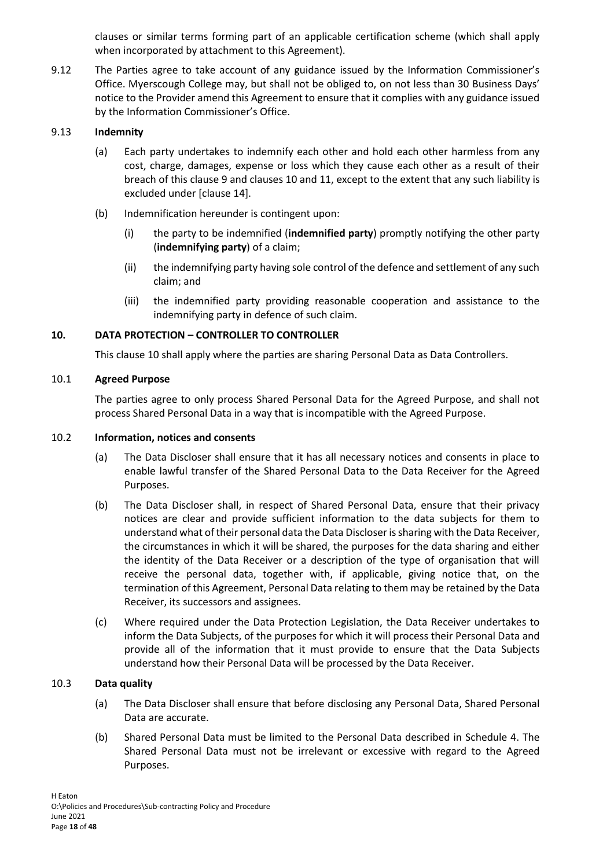clauses or similar terms forming part of an applicable certification scheme (which shall apply when incorporated by attachment to this Agreement).

9.12 The Parties agree to take account of any guidance issued by the Information Commissioner's Office. Myerscough College may, but shall not be obliged to, on not less than 30 Business Days' notice to the Provider amend this Agreement to ensure that it complies with any guidance issued by the Information Commissioner's Office.

# <span id="page-17-0"></span>9.13 **Indemnity**

- (a) Each party undertakes to indemnify each other and hold each other harmless from any cost, charge, damages, expense or loss which they cause each other as a result of their breach of this claus[e 9](#page-14-3) and clauses [10](#page-17-1) and [11,](#page-18-1) except to the extent that any such liability is excluded under [clause [14\]](#page-21-0).
- (b) Indemnification hereunder is contingent upon:
	- (i) the party to be indemnified (**indemnified party**) promptly notifying the other party (**indemnifying party**) of a claim;
	- (ii) the indemnifying party having sole control of the defence and settlement of any such claim; and
	- (iii) the indemnified party providing reasonable cooperation and assistance to the indemnifying party in defence of such claim.

### <span id="page-17-1"></span>**10. DATA PROTECTION – CONTROLLER TO CONTROLLER**

This clause [10](#page-17-1) shall apply where the parties are sharing Personal Data as Data Controllers.

### <span id="page-17-2"></span>10.1 **Agreed Purpose**

The parties agree to only process Shared Personal Data for the Agreed Purpose, and shall not process Shared Personal Data in a way that is incompatible with the Agreed Purpose.

#### <span id="page-17-3"></span>10.2 **Information, notices and consents**

- (a) The Data Discloser shall ensure that it has all necessary notices and consents in place to enable lawful transfer of the Shared Personal Data to the Data Receiver for the Agreed Purposes.
- (b) The Data Discloser shall, in respect of Shared Personal Data, ensure that their privacy notices are clear and provide sufficient information to the data subjects for them to understand what of their personal data the Data Discloser is sharing with the Data Receiver, the circumstances in which it will be shared, the purposes for the data sharing and either the identity of the Data Receiver or a description of the type of organisation that will receive the personal data, together with, if applicable, giving notice that, on the termination of this Agreement, Personal Data relating to them may be retained by the Data Receiver, its successors and assignees.
- (c) Where required under the Data Protection Legislation, the Data Receiver undertakes to inform the Data Subjects, of the purposes for which it will process their Personal Data and provide all of the information that it must provide to ensure that the Data Subjects understand how their Personal Data will be processed by the Data Receiver.

#### <span id="page-17-4"></span>10.3 **Data quality**

- (a) The Data Discloser shall ensure that before disclosing any Personal Data, Shared Personal Data are accurate.
- (b) Shared Personal Data must be limited to the Personal Data described in [Schedule 4.](#page-27-0) The Shared Personal Data must not be irrelevant or excessive with regard to the Agreed Purposes.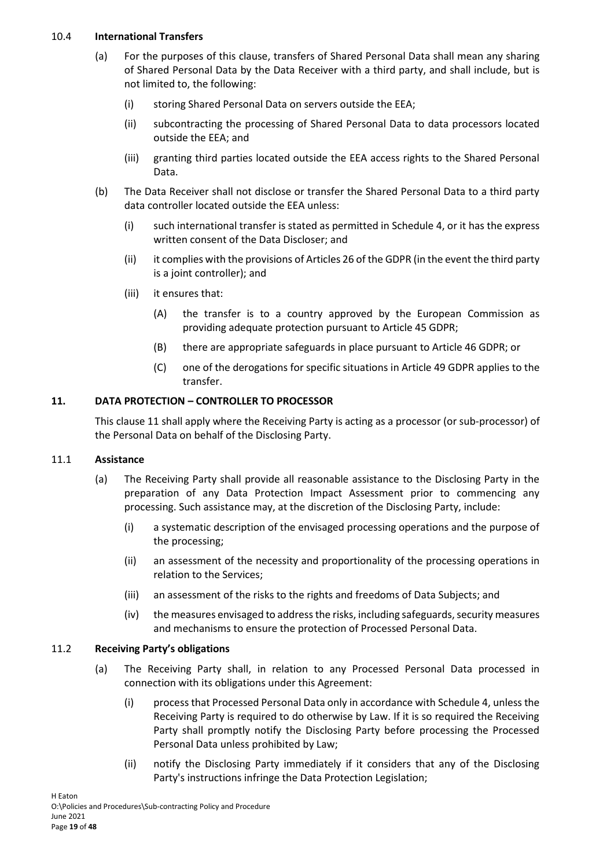#### <span id="page-18-0"></span>10.4 **International Transfers**

- (a) For the purposes of this clause, transfers of Shared Personal Data shall mean any sharing of Shared Personal Data by the Data Receiver with a third party, and shall include, but is not limited to, the following:
	- (i) storing Shared Personal Data on servers outside the EEA;
	- (ii) subcontracting the processing of Shared Personal Data to data processors located outside the EEA; and
	- (iii) granting third parties located outside the EEA access rights to the Shared Personal Data.
- (b) The Data Receiver shall not disclose or transfer the Shared Personal Data to a third party data controller located outside the EEA unless:
	- (i) such international transfer is stated as permitted in [Schedule 4,](#page-27-0) or it has the express written consent of the Data Discloser; and
	- (ii) it complies with the provisions of Articles 26 of the GDPR (in the event the third party is a joint controller); and
	- (iii) it ensures that:
		- (A) the transfer is to a country approved by the European Commission as providing adequate protection pursuant to Article 45 GDPR;
		- (B) there are appropriate safeguards in place pursuant to Article 46 GDPR; or
		- (C) one of the derogations for specific situations in Article 49 GDPR applies to the transfer.

# <span id="page-18-1"></span>**11. DATA PROTECTION – CONTROLLER TO PROCESSOR**

This clause [11](#page-18-1) shall apply where the Receiving Party is acting as a processor (or sub-processor) of the Personal Data on behalf of the Disclosing Party.

#### <span id="page-18-2"></span>11.1 **Assistance**

- (a) The Receiving Party shall provide all reasonable assistance to the Disclosing Party in the preparation of any Data Protection Impact Assessment prior to commencing any processing. Such assistance may, at the discretion of the Disclosing Party, include:
	- (i) a systematic description of the envisaged processing operations and the purpose of the processing;
	- (ii) an assessment of the necessity and proportionality of the processing operations in relation to the Services;
	- (iii) an assessment of the risks to the rights and freedoms of Data Subjects; and
	- (iv) the measures envisaged to address the risks, including safeguards, security measures and mechanisms to ensure the protection of Processed Personal Data.

#### <span id="page-18-3"></span>11.2 **Receiving Party's obligations**

- (a) The Receiving Party shall, in relation to any Processed Personal Data processed in connection with its obligations under this Agreement:
	- (i) process that Processed Personal Data only in accordance wit[h Schedule 4,](#page-27-0) unless the Receiving Party is required to do otherwise by Law. If it is so required the Receiving Party shall promptly notify the Disclosing Party before processing the Processed Personal Data unless prohibited by Law;
	- (ii) notify the Disclosing Party immediately if it considers that any of the Disclosing Party's instructions infringe the Data Protection Legislation;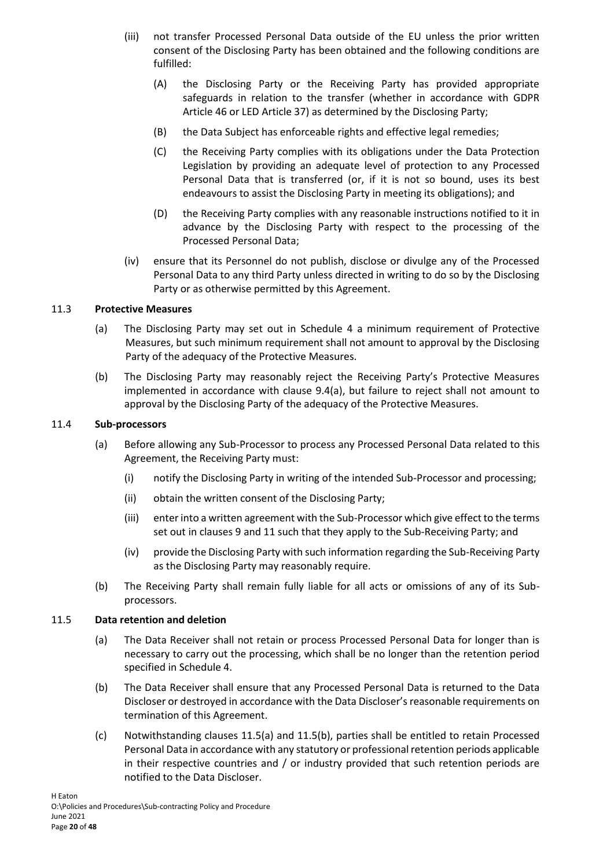- (iii) not transfer Processed Personal Data outside of the EU unless the prior written consent of the Disclosing Party has been obtained and the following conditions are fulfilled:
	- (A) the Disclosing Party or the Receiving Party has provided appropriate safeguards in relation to the transfer (whether in accordance with GDPR Article 46 or LED Article 37) as determined by the Disclosing Party;
	- (B) the Data Subject has enforceable rights and effective legal remedies;
	- (C) the Receiving Party complies with its obligations under the Data Protection Legislation by providing an adequate level of protection to any Processed Personal Data that is transferred (or, if it is not so bound, uses its best endeavours to assist the Disclosing Party in meeting its obligations); and
	- (D) the Receiving Party complies with any reasonable instructions notified to it in advance by the Disclosing Party with respect to the processing of the Processed Personal Data;
- (iv) ensure that its Personnel do not publish, disclose or divulge any of the Processed Personal Data to any third Party unless directed in writing to do so by the Disclosing Party or as otherwise permitted by this Agreement.

### <span id="page-19-0"></span>11.3 **Protective Measures**

- (a) The Disclosing Party may set out in [Schedule 4](#page-27-0) a minimum requirement of Protective Measures, but such minimum requirement shall not amount to approval by the Disclosing Party of the adequacy of the Protective Measures.
- (b) The Disclosing Party may reasonably reject the Receiving Party's Protective Measures implemented in accordance with clause [9.4\(a\),](#page-15-3) but failure to reject shall not amount to approval by the Disclosing Party of the adequacy of the Protective Measures.

### <span id="page-19-1"></span>11.4 **Sub-processors**

- (a) Before allowing any Sub-Processor to process any Processed Personal Data related to this Agreement, the Receiving Party must:
	- (i) notify the Disclosing Party in writing of the intended Sub-Processor and processing;
	- (ii) obtain the written consent of the Disclosing Party;
	- (iii) enter into a written agreement with the Sub-Processor which give effect to the terms set out in clauses [9](#page-14-3) an[d 11](#page-18-1) such that they apply to the Sub-Receiving Party; and
	- (iv) provide the Disclosing Party with such information regarding the Sub-Receiving Party as the Disclosing Party may reasonably require.
- (b) The Receiving Party shall remain fully liable for all acts or omissions of any of its Subprocessors.

#### <span id="page-19-3"></span><span id="page-19-2"></span>11.5 **Data retention and deletion**

- (a) The Data Receiver shall not retain or process Processed Personal Data for longer than is necessary to carry out the processing, which shall be no longer than the retention period specified i[n Schedule 4.](#page-27-0)
- <span id="page-19-4"></span>(b) The Data Receiver shall ensure that any Processed Personal Data is returned to the Data Discloser or destroyed in accordance with the Data Discloser's reasonable requirements on termination of this Agreement.
- (c) Notwithstanding clauses [11.5\(a\)](#page-19-3) and [11.5\(b\),](#page-19-4) parties shall be entitled to retain Processed Personal Data in accordance with any statutory or professional retention periods applicable in their respective countries and / or industry provided that such retention periods are notified to the Data Discloser.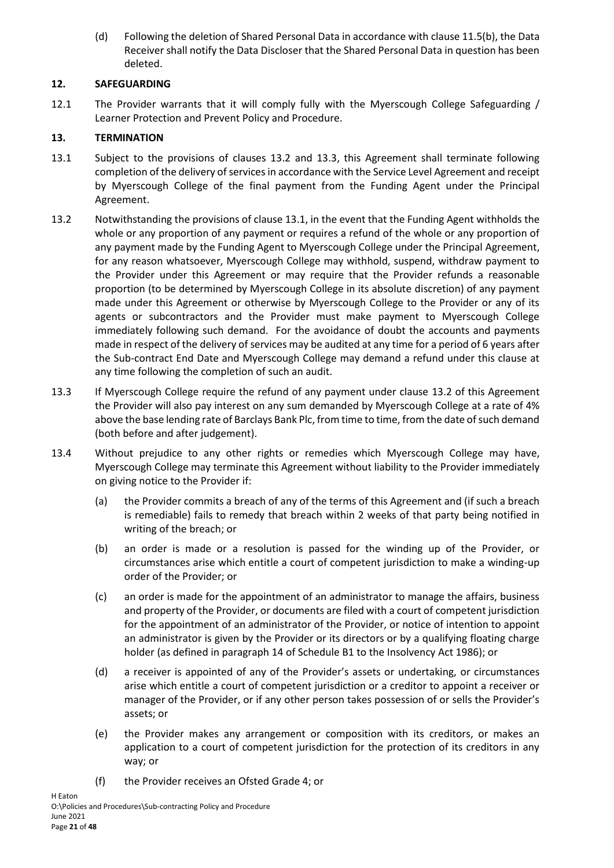(d) Following the deletion of Shared Personal Data in accordance with claus[e 11.5\(b\),](#page-19-4) the Data Receiver shall notify the Data Discloser that the Shared Personal Data in question has been deleted.

# <span id="page-20-0"></span>**12. SAFEGUARDING**

12.1 The Provider warrants that it will comply fully with the Myerscough College Safeguarding / Learner Protection and Prevent Policy and Procedure.

# <span id="page-20-1"></span>**13. TERMINATION**

- <span id="page-20-4"></span>13.1 Subject to the provisions of clauses [13.2](#page-20-2) and [13.3,](#page-20-3) this Agreement shall terminate following completion of the delivery of services in accordance with the Service Level Agreement and receipt by Myerscough College of the final payment from the Funding Agent under the Principal Agreement.
- <span id="page-20-2"></span>13.2 Notwithstanding the provisions of claus[e 13.1,](#page-20-4) in the event that the Funding Agent withholds the whole or any proportion of any payment or requires a refund of the whole or any proportion of any payment made by the Funding Agent to Myerscough College under the Principal Agreement, for any reason whatsoever, Myerscough College may withhold, suspend, withdraw payment to the Provider under this Agreement or may require that the Provider refunds a reasonable proportion (to be determined by Myerscough College in its absolute discretion) of any payment made under this Agreement or otherwise by Myerscough College to the Provider or any of its agents or subcontractors and the Provider must make payment to Myerscough College immediately following such demand. For the avoidance of doubt the accounts and payments made in respect of the delivery of services may be audited at any time for a period of 6 years after the Sub-contract End Date and Myerscough College may demand a refund under this clause at any time following the completion of such an audit.
- <span id="page-20-3"></span>13.3 If Myerscough College require the refund of any payment under clause [13.2](#page-20-2) of this Agreement the Provider will also pay interest on any sum demanded by Myerscough College at a rate of 4% above the base lending rate of Barclays Bank Plc, from time to time, from the date of such demand (both before and after judgement).
- 13.4 Without prejudice to any other rights or remedies which Myerscough College may have, Myerscough College may terminate this Agreement without liability to the Provider immediately on giving notice to the Provider if:
	- (a) the Provider commits a breach of any of the terms of this Agreement and (if such a breach is remediable) fails to remedy that breach within 2 weeks of that party being notified in writing of the breach; or
	- (b) an order is made or a resolution is passed for the winding up of the Provider, or circumstances arise which entitle a court of competent jurisdiction to make a winding-up order of the Provider; or
	- (c) an order is made for the appointment of an administrator to manage the affairs, business and property of the Provider, or documents are filed with a court of competent jurisdiction for the appointment of an administrator of the Provider, or notice of intention to appoint an administrator is given by the Provider or its directors or by a qualifying floating charge holder (as defined in paragraph 14 of Schedule B1 to the Insolvency Act 1986); or
	- (d) a receiver is appointed of any of the Provider's assets or undertaking, or circumstances arise which entitle a court of competent jurisdiction or a creditor to appoint a receiver or manager of the Provider, or if any other person takes possession of or sells the Provider's assets; or
	- (e) the Provider makes any arrangement or composition with its creditors, or makes an application to a court of competent jurisdiction for the protection of its creditors in any way; or
	- (f) the Provider receives an Ofsted Grade 4; or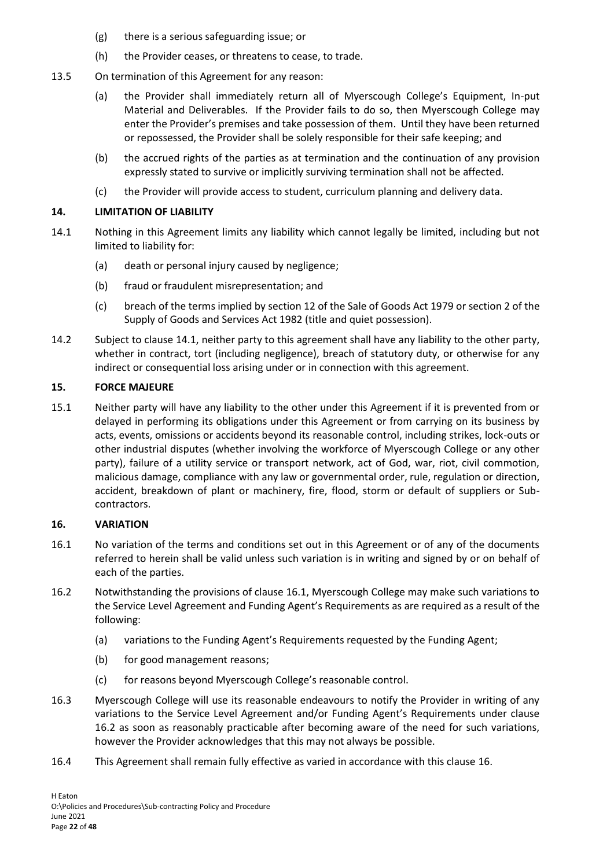- (g) there is a serious safeguarding issue; or
- (h) the Provider ceases, or threatens to cease, to trade.
- 13.5 On termination of this Agreement for any reason:
	- (a) the Provider shall immediately return all of Myerscough College's Equipment, In-put Material and Deliverables. If the Provider fails to do so, then Myerscough College may enter the Provider's premises and take possession of them. Until they have been returned or repossessed, the Provider shall be solely responsible for their safe keeping; and
	- (b) the accrued rights of the parties as at termination and the continuation of any provision expressly stated to survive or implicitly surviving termination shall not be affected.
	- (c) the Provider will provide access to student, curriculum planning and delivery data.

#### <span id="page-21-0"></span>**14. LIMITATION OF LIABILITY**

- <span id="page-21-3"></span>14.1 Nothing in this Agreement limits any liability which cannot legally be limited, including but not limited to liability for:
	- (a) death or personal injury caused by negligence;
	- (b) fraud or fraudulent misrepresentation; and
	- (c) breach of the terms implied by section 12 of the Sale of Goods Act 1979 or section 2 of the Supply of Goods and Services Act 1982 (title and quiet possession).
- 14.2 Subject to claus[e 14.1,](#page-21-3) neither party to this agreement shall have any liability to the other party, whether in contract, tort (including negligence), breach of statutory duty, or otherwise for any indirect or consequential loss arising under or in connection with this agreement.

### <span id="page-21-1"></span>**15. FORCE MAJEURE**

15.1 Neither party will have any liability to the other under this Agreement if it is prevented from or delayed in performing its obligations under this Agreement or from carrying on its business by acts, events, omissions or accidents beyond its reasonable control, including strikes, lock-outs or other industrial disputes (whether involving the workforce of Myerscough College or any other party), failure of a utility service or transport network, act of God, war, riot, civil commotion, malicious damage, compliance with any law or governmental order, rule, regulation or direction, accident, breakdown of plant or machinery, fire, flood, storm or default of suppliers or Subcontractors.

#### <span id="page-21-2"></span>**16. VARIATION**

- <span id="page-21-4"></span>16.1 No variation of the terms and conditions set out in this Agreement or of any of the documents referred to herein shall be valid unless such variation is in writing and signed by or on behalf of each of the parties.
- <span id="page-21-5"></span>16.2 Notwithstanding the provisions of clause [16.1,](#page-21-4) Myerscough College may make such variations to the Service Level Agreement and Funding Agent's Requirements as are required as a result of the following:
	- (a) variations to the Funding Agent's Requirements requested by the Funding Agent;
	- (b) for good management reasons;
	- (c) for reasons beyond Myerscough College's reasonable control.
- 16.3 Myerscough College will use its reasonable endeavours to notify the Provider in writing of any variations to the Service Level Agreement and/or Funding Agent's Requirements under clause [16.2](#page-21-5) as soon as reasonably practicable after becoming aware of the need for such variations, however the Provider acknowledges that this may not always be possible.
- 16.4 This Agreement shall remain fully effective as varied in accordance with this claus[e 16.](#page-21-2)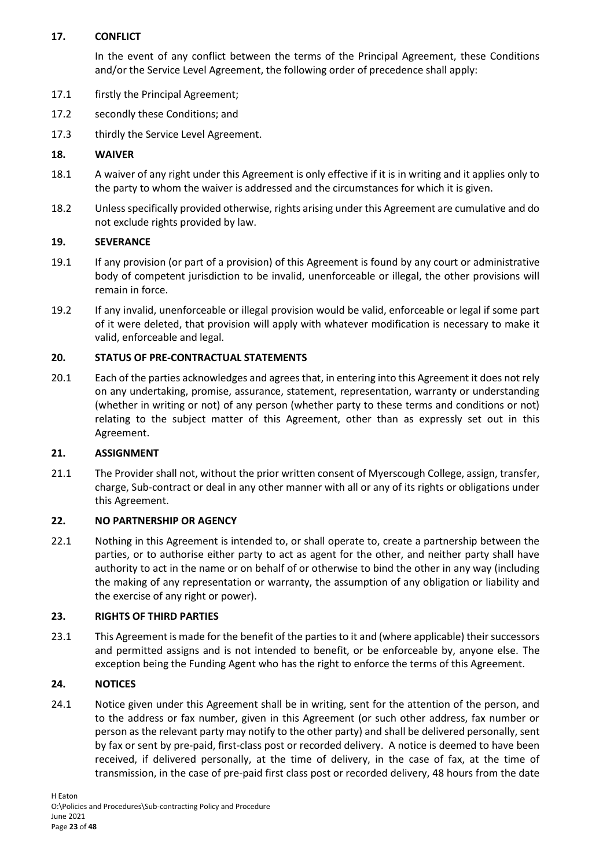# <span id="page-22-0"></span>**17. CONFLICT**

In the event of any conflict between the terms of the Principal Agreement, these Conditions and/or the Service Level Agreement, the following order of precedence shall apply:

- 17.1 firstly the Principal Agreement;
- 17.2 secondly these Conditions; and
- 17.3 thirdly the Service Level Agreement.

# <span id="page-22-1"></span>**18. WAIVER**

- 18.1 A waiver of any right under this Agreement is only effective if it is in writing and it applies only to the party to whom the waiver is addressed and the circumstances for which it is given.
- 18.2 Unless specifically provided otherwise, rights arising under this Agreement are cumulative and do not exclude rights provided by law.

# <span id="page-22-2"></span>**19. SEVERANCE**

- 19.1 If any provision (or part of a provision) of this Agreement is found by any court or administrative body of competent jurisdiction to be invalid, unenforceable or illegal, the other provisions will remain in force.
- 19.2 If any invalid, unenforceable or illegal provision would be valid, enforceable or legal if some part of it were deleted, that provision will apply with whatever modification is necessary to make it valid, enforceable and legal.

# <span id="page-22-3"></span>**20. STATUS OF PRE-CONTRACTUAL STATEMENTS**

20.1 Each of the parties acknowledges and agrees that, in entering into this Agreement it does not rely on any undertaking, promise, assurance, statement, representation, warranty or understanding (whether in writing or not) of any person (whether party to these terms and conditions or not) relating to the subject matter of this Agreement, other than as expressly set out in this Agreement.

# <span id="page-22-4"></span>**21. ASSIGNMENT**

21.1 The Provider shall not, without the prior written consent of Myerscough College, assign, transfer, charge, Sub-contract or deal in any other manner with all or any of its rights or obligations under this Agreement.

# <span id="page-22-5"></span>**22. NO PARTNERSHIP OR AGENCY**

22.1 Nothing in this Agreement is intended to, or shall operate to, create a partnership between the parties, or to authorise either party to act as agent for the other, and neither party shall have authority to act in the name or on behalf of or otherwise to bind the other in any way (including the making of any representation or warranty, the assumption of any obligation or liability and the exercise of any right or power).

# <span id="page-22-6"></span>**23. RIGHTS OF THIRD PARTIES**

23.1 This Agreement is made for the benefit of the parties to it and (where applicable) their successors and permitted assigns and is not intended to benefit, or be enforceable by, anyone else. The exception being the Funding Agent who has the right to enforce the terms of this Agreement.

# <span id="page-22-7"></span>**24. NOTICES**

24.1 Notice given under this Agreement shall be in writing, sent for the attention of the person, and to the address or fax number, given in this Agreement (or such other address, fax number or person as the relevant party may notify to the other party) and shall be delivered personally, sent by fax or sent by pre-paid, first-class post or recorded delivery. A notice is deemed to have been received, if delivered personally, at the time of delivery, in the case of fax, at the time of transmission, in the case of pre-paid first class post or recorded delivery, 48 hours from the date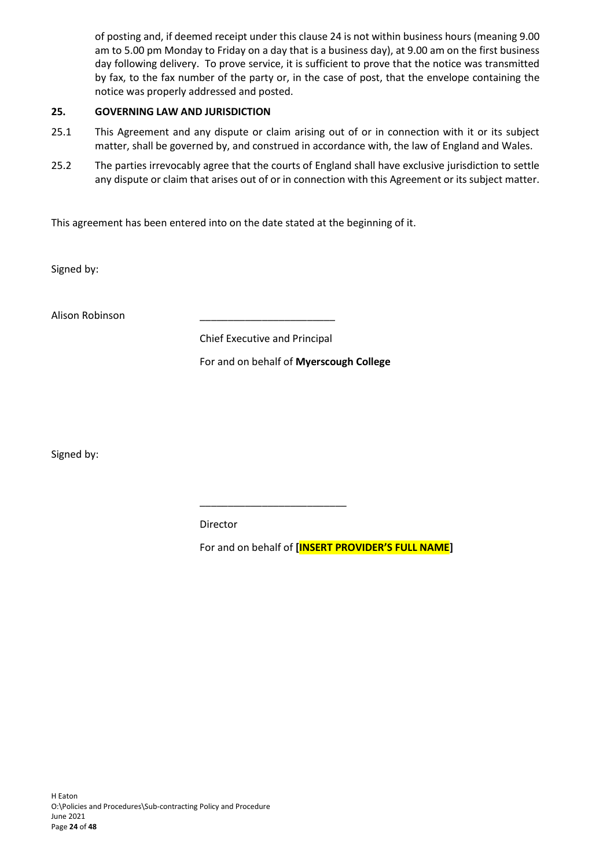of posting and, if deemed receipt under this clause [24](#page-22-7) is not within business hours (meaning 9.00 am to 5.00 pm Monday to Friday on a day that is a business day), at 9.00 am on the first business day following delivery. To prove service, it is sufficient to prove that the notice was transmitted by fax, to the fax number of the party or, in the case of post, that the envelope containing the notice was properly addressed and posted.

# <span id="page-23-0"></span>**25. GOVERNING LAW AND JURISDICTION**

- 25.1 This Agreement and any dispute or claim arising out of or in connection with it or its subject matter, shall be governed by, and construed in accordance with, the law of England and Wales.
- 25.2 The parties irrevocably agree that the courts of England shall have exclusive jurisdiction to settle any dispute or claim that arises out of or in connection with this Agreement or its subject matter.

This agreement has been entered into on the date stated at the beginning of it.

Signed by:

Alison Robinson \_\_\_\_\_\_\_\_\_\_\_\_\_\_\_\_\_\_\_\_\_\_\_\_

Chief Executive and Principal

\_\_\_\_\_\_\_\_\_\_\_\_\_\_\_\_\_\_\_\_\_\_\_\_\_\_

For and on behalf of **Myerscough College**

Signed by:

Director

For and on behalf of **[INSERT PROVIDER'S FULL NAME]**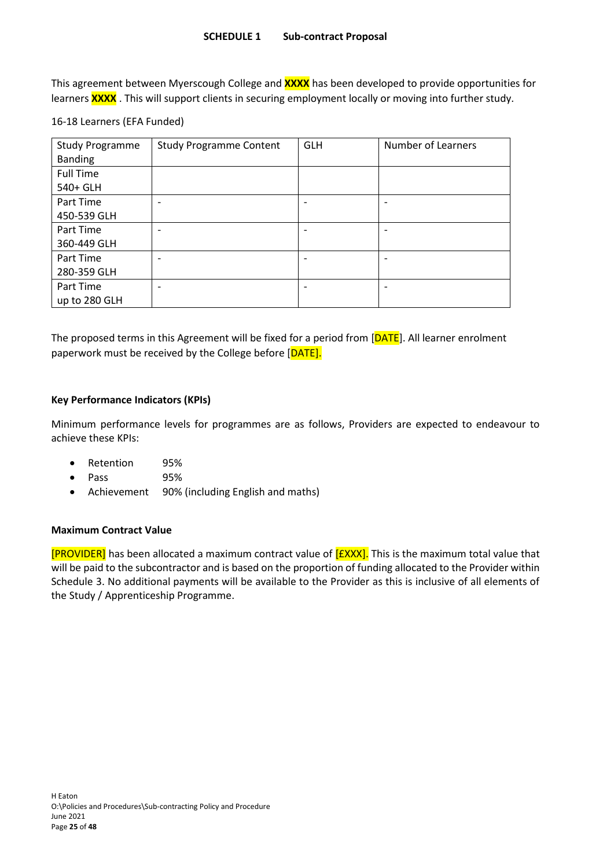<span id="page-24-0"></span>This agreement between Myerscough College and **XXXX** has been developed to provide opportunities for learners **XXXX** . This will support clients in securing employment locally or moving into further study.

#### 16-18 Learners (EFA Funded)

| <b>Study Programme</b> | <b>Study Programme Content</b> | <b>GLH</b> | <b>Number of Learners</b>    |
|------------------------|--------------------------------|------------|------------------------------|
| <b>Banding</b>         |                                |            |                              |
| <b>Full Time</b>       |                                |            |                              |
| 540+ GLH               |                                |            |                              |
| Part Time              | ٠                              |            | $\overline{\phantom{0}}$     |
| 450-539 GLH            |                                |            |                              |
| Part Time              | $\overline{\phantom{0}}$       |            | $\overline{\phantom{0}}$     |
| 360-449 GLH            |                                |            |                              |
| Part Time              |                                |            | $\qquad \qquad \blacksquare$ |
| 280-359 GLH            |                                |            |                              |
| Part Time              |                                |            |                              |
| up to 280 GLH          |                                |            |                              |

The proposed terms in this Agreement will be fixed for a period from [DATE]. All learner enrolment paperwork must be received by the College before [DATE].

### **Key Performance Indicators (KPIs)**

Minimum performance levels for programmes are as follows, Providers are expected to endeavour to achieve these KPIs:

- Retention 95%
- Pass 95%
- Achievement 90% (including English and maths)

#### **Maximum Contract Value**

[PROVIDER] has been allocated a maximum contract value of [£XXX]. This is the maximum total value that will be paid to the subcontractor and is based on the proportion of funding allocated to the Provider within Schedule 3. No additional payments will be available to the Provider as this is inclusive of all elements of the Study / Apprenticeship Programme.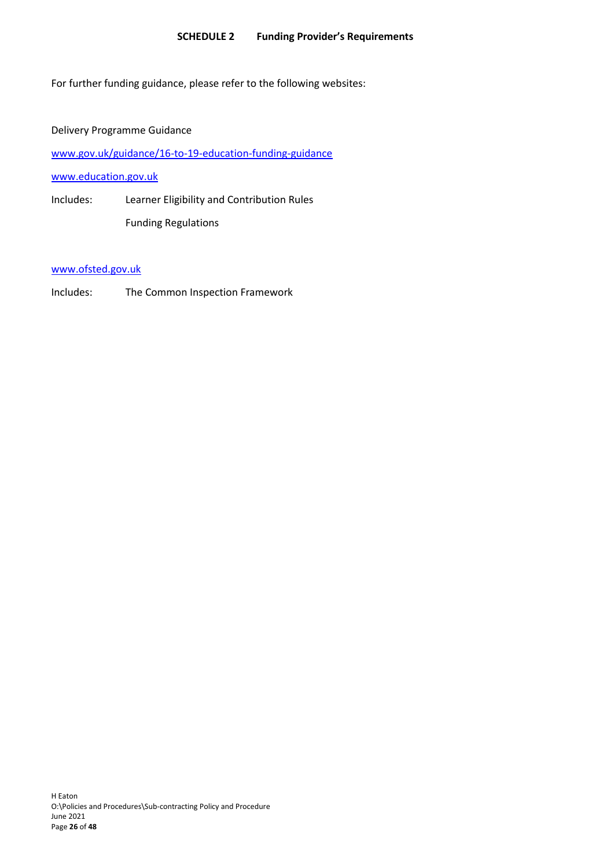#### <span id="page-25-0"></span>**SCHEDULE 2 Funding Provider's Requirements**

For further funding guidance, please refer to the following websites:

Delivery Programme Guidance

[www.gov.uk/guidance/16-to-19-education-funding-guidance](http://www.gov.uk/guidance/16-to-19-education-funding-guidance)

[www.education.gov.uk](http://www.education.gov.uk/)

Includes: Learner Eligibility and Contribution Rules Funding Regulations

[www.ofsted.gov.uk](http://www.ofsted.gov.uk/)

Includes: The Common Inspection Framework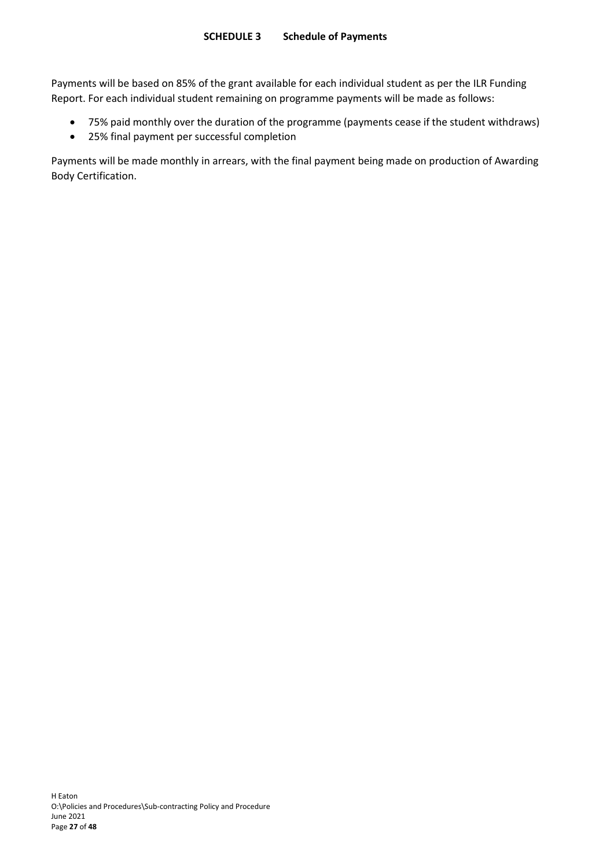Payments will be based on 85% of the grant available for each individual student as per the ILR Funding Report. For each individual student remaining on programme payments will be made as follows:

- <span id="page-26-1"></span><span id="page-26-0"></span>• 75% paid monthly over the duration of the programme (payments cease if the student withdraws)
- 25% final payment per successful completion

Payments will be made monthly in arrears, with the final payment being made on production of Awarding Body Certification.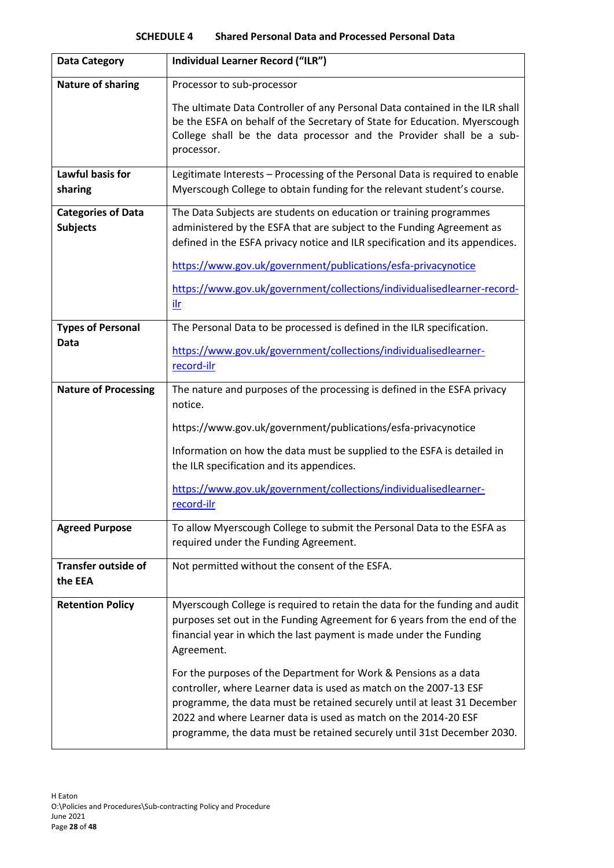<span id="page-27-0"></span>

| <b>Data Category</b>                         | Individual Learner Record ("ILR")                                                                                                                                                                                                                                                                                                                                |
|----------------------------------------------|------------------------------------------------------------------------------------------------------------------------------------------------------------------------------------------------------------------------------------------------------------------------------------------------------------------------------------------------------------------|
| <b>Nature of sharing</b>                     | Processor to sub-processor                                                                                                                                                                                                                                                                                                                                       |
|                                              | The ultimate Data Controller of any Personal Data contained in the ILR shall<br>be the ESFA on behalf of the Secretary of State for Education. Myerscough<br>College shall be the data processor and the Provider shall be a sub-<br>processor.                                                                                                                  |
| Lawful basis for<br>sharing                  | Legitimate Interests - Processing of the Personal Data is required to enable<br>Myerscough College to obtain funding for the relevant student's course.                                                                                                                                                                                                          |
| <b>Categories of Data</b><br><b>Subjects</b> | The Data Subjects are students on education or training programmes<br>administered by the ESFA that are subject to the Funding Agreement as<br>defined in the ESFA privacy notice and ILR specification and its appendices.                                                                                                                                      |
|                                              | https://www.gov.uk/government/publications/esfa-privacynotice                                                                                                                                                                                                                                                                                                    |
|                                              | https://www.gov.uk/government/collections/individualisedlearner-record-<br>ilr                                                                                                                                                                                                                                                                                   |
| <b>Types of Personal</b>                     | The Personal Data to be processed is defined in the ILR specification.                                                                                                                                                                                                                                                                                           |
| Data                                         | https://www.gov.uk/government/collections/individualisedlearner-<br>record-ilr                                                                                                                                                                                                                                                                                   |
| <b>Nature of Processing</b>                  | The nature and purposes of the processing is defined in the ESFA privacy<br>notice.                                                                                                                                                                                                                                                                              |
|                                              | https://www.gov.uk/government/publications/esfa-privacynotice                                                                                                                                                                                                                                                                                                    |
|                                              | Information on how the data must be supplied to the ESFA is detailed in<br>the ILR specification and its appendices.                                                                                                                                                                                                                                             |
|                                              | https://www.gov.uk/government/collections/individualisedlearner-<br>record-ilr                                                                                                                                                                                                                                                                                   |
| <b>Agreed Purpose</b>                        | To allow Myerscough College to submit the Personal Data to the ESFA as<br>required under the Funding Agreement.                                                                                                                                                                                                                                                  |
| <b>Transfer outside of</b><br>the EEA        | Not permitted without the consent of the ESFA.                                                                                                                                                                                                                                                                                                                   |
| <b>Retention Policy</b>                      | Myerscough College is required to retain the data for the funding and audit<br>purposes set out in the Funding Agreement for 6 years from the end of the<br>financial year in which the last payment is made under the Funding<br>Agreement.                                                                                                                     |
|                                              | For the purposes of the Department for Work & Pensions as a data<br>controller, where Learner data is used as match on the 2007-13 ESF<br>programme, the data must be retained securely until at least 31 December<br>2022 and where Learner data is used as match on the 2014-20 ESF<br>programme, the data must be retained securely until 31st December 2030. |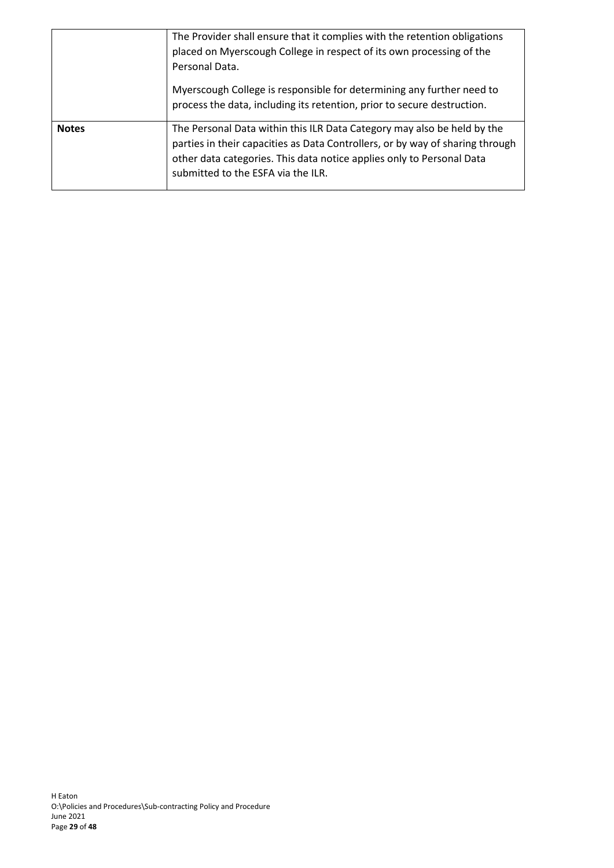|              | The Provider shall ensure that it complies with the retention obligations<br>placed on Myerscough College in respect of its own processing of the<br>Personal Data.                                                                                                     |
|--------------|-------------------------------------------------------------------------------------------------------------------------------------------------------------------------------------------------------------------------------------------------------------------------|
|              | Myerscough College is responsible for determining any further need to<br>process the data, including its retention, prior to secure destruction.                                                                                                                        |
| <b>Notes</b> | The Personal Data within this ILR Data Category may also be held by the<br>parties in their capacities as Data Controllers, or by way of sharing through<br>other data categories. This data notice applies only to Personal Data<br>submitted to the ESFA via the ILR. |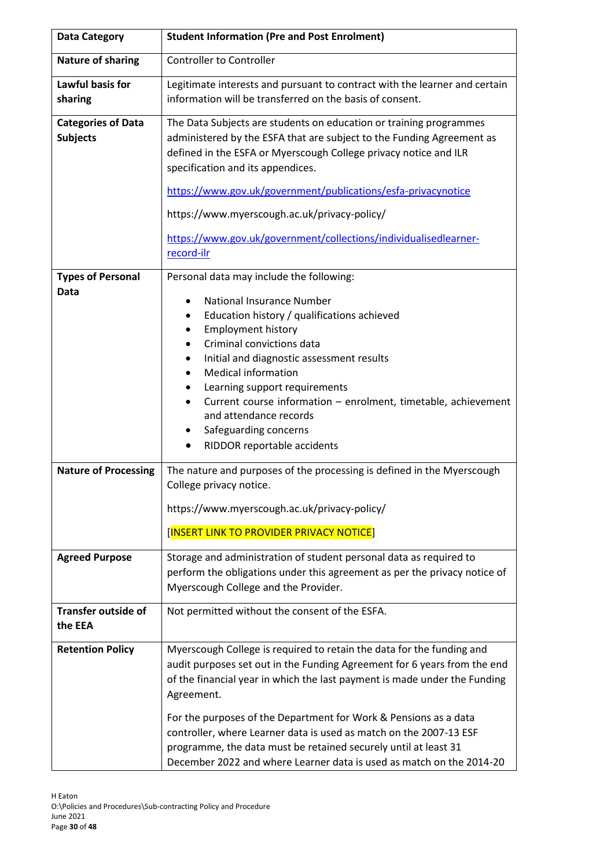| <b>Data Category</b>                         | <b>Student Information (Pre and Post Enrolment)</b>                                                                                                                                                                                                                                                                                                                                                                                                                                                                                           |  |  |  |  |
|----------------------------------------------|-----------------------------------------------------------------------------------------------------------------------------------------------------------------------------------------------------------------------------------------------------------------------------------------------------------------------------------------------------------------------------------------------------------------------------------------------------------------------------------------------------------------------------------------------|--|--|--|--|
| <b>Nature of sharing</b>                     | <b>Controller to Controller</b>                                                                                                                                                                                                                                                                                                                                                                                                                                                                                                               |  |  |  |  |
| Lawful basis for<br>sharing                  | Legitimate interests and pursuant to contract with the learner and certain<br>information will be transferred on the basis of consent.                                                                                                                                                                                                                                                                                                                                                                                                        |  |  |  |  |
| <b>Categories of Data</b><br><b>Subjects</b> | The Data Subjects are students on education or training programmes<br>administered by the ESFA that are subject to the Funding Agreement as<br>defined in the ESFA or Myerscough College privacy notice and ILR<br>specification and its appendices.<br>https://www.gov.uk/government/publications/esfa-privacynotice<br>https://www.myerscough.ac.uk/privacy-policy/<br>https://www.gov.uk/government/collections/individualisedlearner-<br>record-ilr                                                                                       |  |  |  |  |
| <b>Types of Personal</b><br>Data             | Personal data may include the following:<br><b>National Insurance Number</b><br>$\bullet$<br>Education history / qualifications achieved<br>$\bullet$<br><b>Employment history</b><br>٠<br>Criminal convictions data<br>$\bullet$<br>Initial and diagnostic assessment results<br>$\bullet$<br><b>Medical information</b><br>Learning support requirements<br>Current course information - enrolment, timetable, achievement<br>$\bullet$<br>and attendance records<br>Safeguarding concerns<br>٠<br>RIDDOR reportable accidents<br>$\bullet$ |  |  |  |  |
| <b>Nature of Processing</b>                  | The nature and purposes of the processing is defined in the Myerscough<br>College privacy notice.<br>https://www.myerscough.ac.uk/privacy-policy/<br>[INSERT LINK TO PROVIDER PRIVACY NOTICE]                                                                                                                                                                                                                                                                                                                                                 |  |  |  |  |
| <b>Agreed Purpose</b>                        | Storage and administration of student personal data as required to<br>perform the obligations under this agreement as per the privacy notice of<br>Myerscough College and the Provider.                                                                                                                                                                                                                                                                                                                                                       |  |  |  |  |
| <b>Transfer outside of</b><br>the EEA        | Not permitted without the consent of the ESFA.                                                                                                                                                                                                                                                                                                                                                                                                                                                                                                |  |  |  |  |
| <b>Retention Policy</b>                      | Myerscough College is required to retain the data for the funding and<br>audit purposes set out in the Funding Agreement for 6 years from the end<br>of the financial year in which the last payment is made under the Funding<br>Agreement.<br>For the purposes of the Department for Work & Pensions as a data<br>controller, where Learner data is used as match on the 2007-13 ESF<br>programme, the data must be retained securely until at least 31<br>December 2022 and where Learner data is used as match on the 2014-20             |  |  |  |  |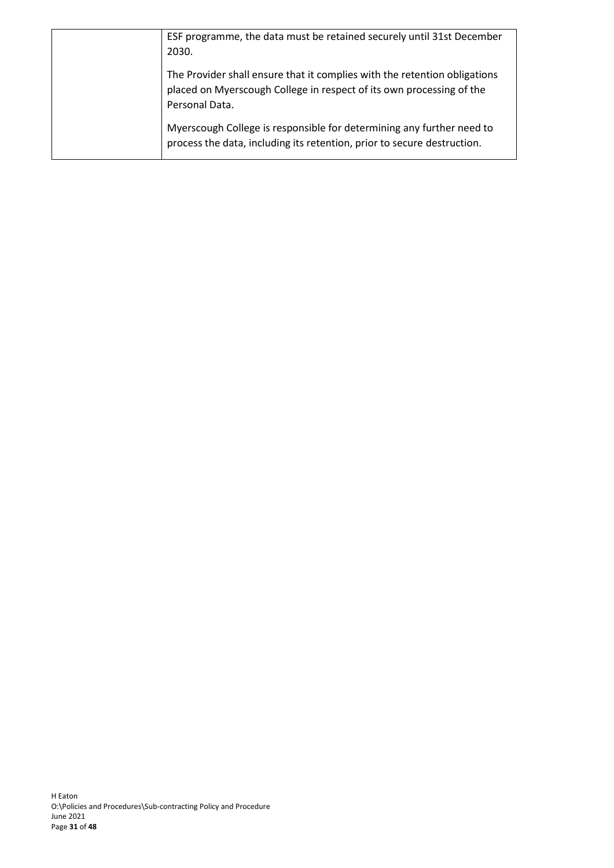| ESF programme, the data must be retained securely until 31st December<br>2030.                                                                                      |
|---------------------------------------------------------------------------------------------------------------------------------------------------------------------|
| The Provider shall ensure that it complies with the retention obligations<br>placed on Myerscough College in respect of its own processing of the<br>Personal Data. |
| Myerscough College is responsible for determining any further need to<br>process the data, including its retention, prior to secure destruction.                    |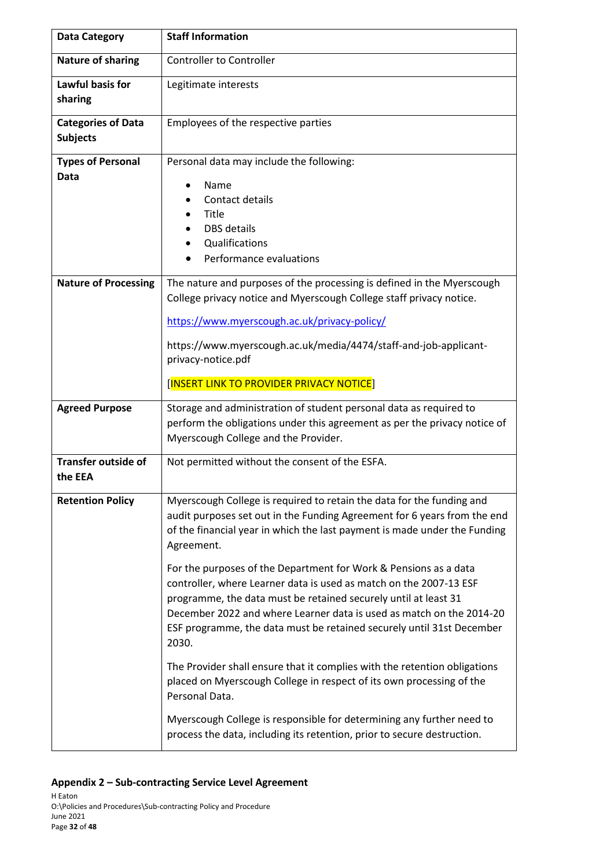| <b>Data Category</b>                                                                                                                                                                             | <b>Staff Information</b>                                                                                                                                                                                                                                                                                                                                                                                                                                                                                                                                                                                                                                                                                                                                                                                                                                                                                                                       |  |  |  |
|--------------------------------------------------------------------------------------------------------------------------------------------------------------------------------------------------|------------------------------------------------------------------------------------------------------------------------------------------------------------------------------------------------------------------------------------------------------------------------------------------------------------------------------------------------------------------------------------------------------------------------------------------------------------------------------------------------------------------------------------------------------------------------------------------------------------------------------------------------------------------------------------------------------------------------------------------------------------------------------------------------------------------------------------------------------------------------------------------------------------------------------------------------|--|--|--|
| <b>Nature of sharing</b>                                                                                                                                                                         | <b>Controller to Controller</b>                                                                                                                                                                                                                                                                                                                                                                                                                                                                                                                                                                                                                                                                                                                                                                                                                                                                                                                |  |  |  |
| Lawful basis for<br>sharing                                                                                                                                                                      | Legitimate interests                                                                                                                                                                                                                                                                                                                                                                                                                                                                                                                                                                                                                                                                                                                                                                                                                                                                                                                           |  |  |  |
| <b>Categories of Data</b><br><b>Subjects</b>                                                                                                                                                     | Employees of the respective parties                                                                                                                                                                                                                                                                                                                                                                                                                                                                                                                                                                                                                                                                                                                                                                                                                                                                                                            |  |  |  |
| <b>Types of Personal</b><br>Personal data may include the following:<br>Data<br>Name<br>$\bullet$<br>Contact details<br>Title<br><b>DBS</b> details<br>Qualifications<br>Performance evaluations |                                                                                                                                                                                                                                                                                                                                                                                                                                                                                                                                                                                                                                                                                                                                                                                                                                                                                                                                                |  |  |  |
| <b>Nature of Processing</b>                                                                                                                                                                      | The nature and purposes of the processing is defined in the Myerscough<br>College privacy notice and Myerscough College staff privacy notice.<br>https://www.myerscough.ac.uk/privacy-policy/<br>https://www.myerscough.ac.uk/media/4474/staff-and-job-applicant-<br>privacy-notice.pdf<br>[INSERT LINK TO PROVIDER PRIVACY NOTICE]                                                                                                                                                                                                                                                                                                                                                                                                                                                                                                                                                                                                            |  |  |  |
| <b>Agreed Purpose</b>                                                                                                                                                                            | Storage and administration of student personal data as required to<br>perform the obligations under this agreement as per the privacy notice of<br>Myerscough College and the Provider.                                                                                                                                                                                                                                                                                                                                                                                                                                                                                                                                                                                                                                                                                                                                                        |  |  |  |
| <b>Transfer outside of</b><br>the EEA                                                                                                                                                            | Not permitted without the consent of the ESFA.                                                                                                                                                                                                                                                                                                                                                                                                                                                                                                                                                                                                                                                                                                                                                                                                                                                                                                 |  |  |  |
| <b>Retention Policy</b>                                                                                                                                                                          | Myerscough College is required to retain the data for the funding and<br>audit purposes set out in the Funding Agreement for 6 years from the end<br>of the financial year in which the last payment is made under the Funding<br>Agreement.<br>For the purposes of the Department for Work & Pensions as a data<br>controller, where Learner data is used as match on the 2007-13 ESF<br>programme, the data must be retained securely until at least 31<br>December 2022 and where Learner data is used as match on the 2014-20<br>ESF programme, the data must be retained securely until 31st December<br>2030.<br>The Provider shall ensure that it complies with the retention obligations<br>placed on Myerscough College in respect of its own processing of the<br>Personal Data.<br>Myerscough College is responsible for determining any further need to<br>process the data, including its retention, prior to secure destruction. |  |  |  |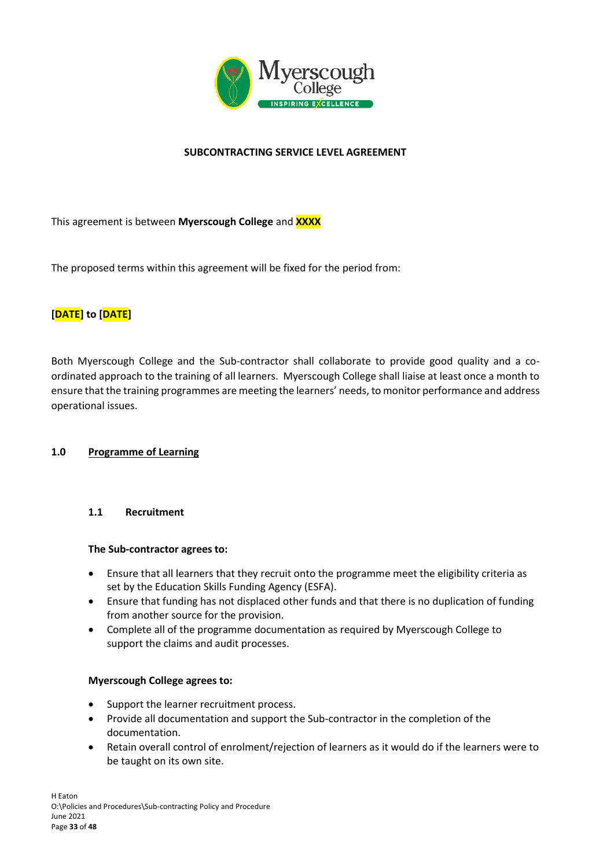

# **SUBCONTRACTING SERVICE LEVEL AGREEMENT**

This agreement is between **Myerscough College** and **XXXX**

The proposed terms within this agreement will be fixed for the period from:

# **[DATE] to [DATE]**

Both Myerscough College and the Sub-contractor shall collaborate to provide good quality and a coordinated approach to the training of all learners. Myerscough College shall liaise at least once a month to ensure that the training programmes are meeting the learners' needs, to monitor performance and address operational issues.

#### **1.0 Programme of Learning**

#### **1.1 Recruitment**

#### **The Sub-contractor agrees to:**

- Ensure that all learners that they recruit onto the programme meet the eligibility criteria as set by the Education Skills Funding Agency (ESFA).
- Ensure that funding has not displaced other funds and that there is no duplication of funding from another source for the provision.
- Complete all of the programme documentation as required by Myerscough College to support the claims and audit processes.

#### **Myerscough College agrees to:**

- Support the learner recruitment process.
- Provide all documentation and support the Sub-contractor in the completion of the documentation.
- Retain overall control of enrolment/rejection of learners as it would do if the learners were to be taught on its own site.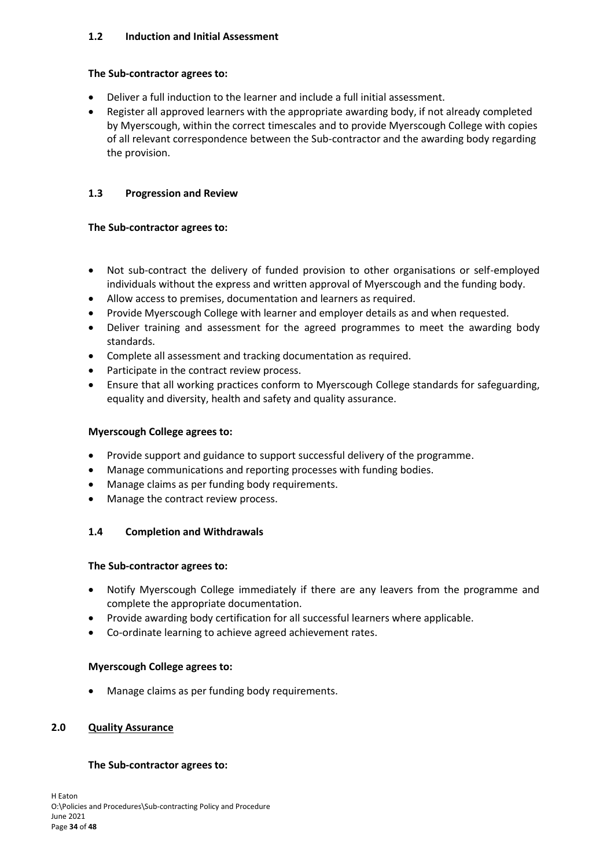# **1.2 Induction and Initial Assessment**

#### **The Sub-contractor agrees to:**

- Deliver a full induction to the learner and include a full initial assessment.
- Register all approved learners with the appropriate awarding body, if not already completed by Myerscough, within the correct timescales and to provide Myerscough College with copies of all relevant correspondence between the Sub-contractor and the awarding body regarding the provision.

# **1.3 Progression and Review**

#### **The Sub-contractor agrees to:**

- Not sub-contract the delivery of funded provision to other organisations or self-employed individuals without the express and written approval of Myerscough and the funding body.
- Allow access to premises, documentation and learners as required.
- Provide Myerscough College with learner and employer details as and when requested.
- Deliver training and assessment for the agreed programmes to meet the awarding body standards.
- Complete all assessment and tracking documentation as required.
- Participate in the contract review process.
- Ensure that all working practices conform to Myerscough College standards for safeguarding, equality and diversity, health and safety and quality assurance.

#### **Myerscough College agrees to:**

- Provide support and guidance to support successful delivery of the programme.
- Manage communications and reporting processes with funding bodies.
- Manage claims as per funding body requirements.
- Manage the contract review process.

# **1.4 Completion and Withdrawals**

#### **The Sub-contractor agrees to:**

- Notify Myerscough College immediately if there are any leavers from the programme and complete the appropriate documentation.
- Provide awarding body certification for all successful learners where applicable.
- Co-ordinate learning to achieve agreed achievement rates.

#### **Myerscough College agrees to:**

Manage claims as per funding body requirements.

#### **2.0 Quality Assurance**

#### **The Sub-contractor agrees to:**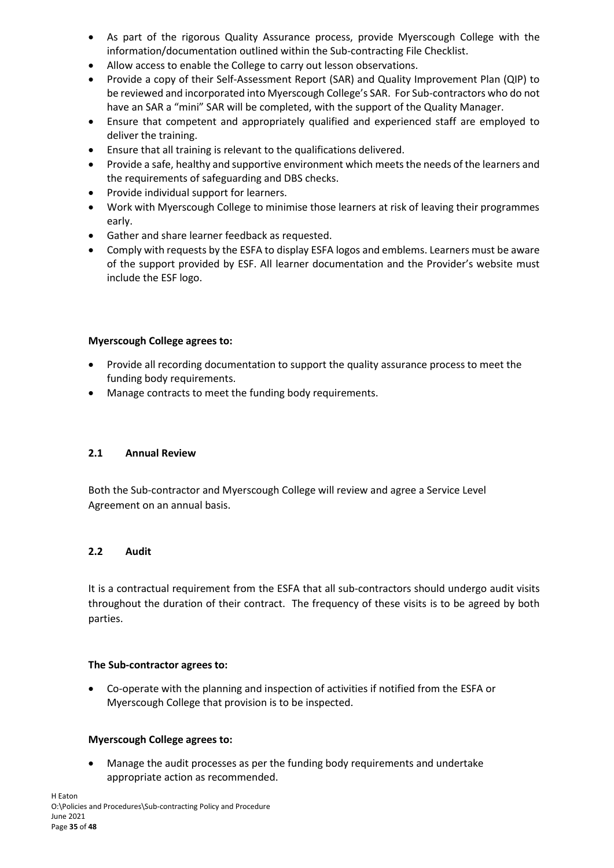- As part of the rigorous Quality Assurance process, provide Myerscough College with the information/documentation outlined within the Sub-contracting File Checklist.
- Allow access to enable the College to carry out lesson observations.
- Provide a copy of their Self-Assessment Report (SAR) and Quality Improvement Plan (QIP) to be reviewed and incorporated into Myerscough College's SAR. For Sub-contractors who do not have an SAR a "mini" SAR will be completed, with the support of the Quality Manager.
- Ensure that competent and appropriately qualified and experienced staff are employed to deliver the training.
- Ensure that all training is relevant to the qualifications delivered.
- Provide a safe, healthy and supportive environment which meets the needs of the learners and the requirements of safeguarding and DBS checks.
- Provide individual support for learners.
- Work with Myerscough College to minimise those learners at risk of leaving their programmes early.
- Gather and share learner feedback as requested.
- Comply with requests by the ESFA to display ESFA logos and emblems. Learners must be aware of the support provided by ESF. All learner documentation and the Provider's website must include the ESF logo.

### **Myerscough College agrees to:**

- Provide all recording documentation to support the quality assurance process to meet the funding body requirements.
- Manage contracts to meet the funding body requirements.

#### **2.1 Annual Review**

Both the Sub-contractor and Myerscough College will review and agree a Service Level Agreement on an annual basis.

#### **2.2 Audit**

It is a contractual requirement from the ESFA that all sub-contractors should undergo audit visits throughout the duration of their contract. The frequency of these visits is to be agreed by both parties.

#### **The Sub-contractor agrees to:**

• Co-operate with the planning and inspection of activities if notified from the ESFA or Myerscough College that provision is to be inspected.

#### **Myerscough College agrees to:**

• Manage the audit processes as per the funding body requirements and undertake appropriate action as recommended.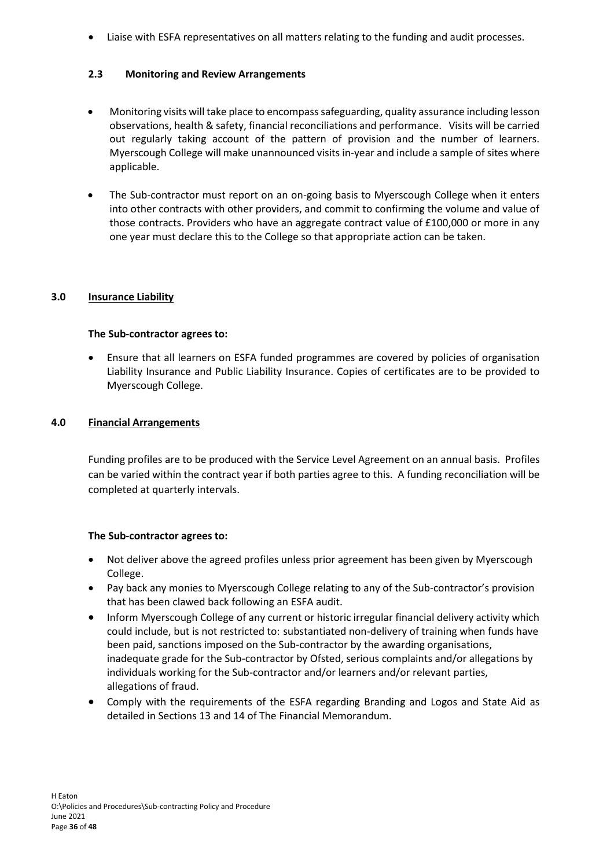• Liaise with ESFA representatives on all matters relating to the funding and audit processes.

# **2.3 Monitoring and Review Arrangements**

- Monitoring visits will take place to encompass safeguarding, quality assurance including lesson observations, health & safety, financial reconciliations and performance. Visits will be carried out regularly taking account of the pattern of provision and the number of learners. Myerscough College will make unannounced visits in-year and include a sample of sites where applicable.
- The Sub-contractor must report on an on-going basis to Myerscough College when it enters into other contracts with other providers, and commit to confirming the volume and value of those contracts. Providers who have an aggregate contract value of £100,000 or more in any one year must declare this to the College so that appropriate action can be taken.

### **3.0 Insurance Liability**

### **The Sub-contractor agrees to:**

• Ensure that all learners on ESFA funded programmes are covered by policies of organisation Liability Insurance and Public Liability Insurance. Copies of certificates are to be provided to Myerscough College.

# **4.0 Financial Arrangements**

Funding profiles are to be produced with the Service Level Agreement on an annual basis. Profiles can be varied within the contract year if both parties agree to this. A funding reconciliation will be completed at quarterly intervals.

# **The Sub-contractor agrees to:**

- Not deliver above the agreed profiles unless prior agreement has been given by Myerscough College.
- Pay back any monies to Myerscough College relating to any of the Sub-contractor's provision that has been clawed back following an ESFA audit.
- Inform Myerscough College of any current or historic irregular financial delivery activity which could include, but is not restricted to: substantiated non-delivery of training when funds have been paid, sanctions imposed on the Sub-contractor by the awarding organisations, inadequate grade for the Sub-contractor by Ofsted, serious complaints and/or allegations by individuals working for the Sub-contractor and/or learners and/or relevant parties, allegations of fraud.
- Comply with the requirements of the ESFA regarding Branding and Logos and State Aid as detailed in Sections 13 and 14 of The Financial Memorandum.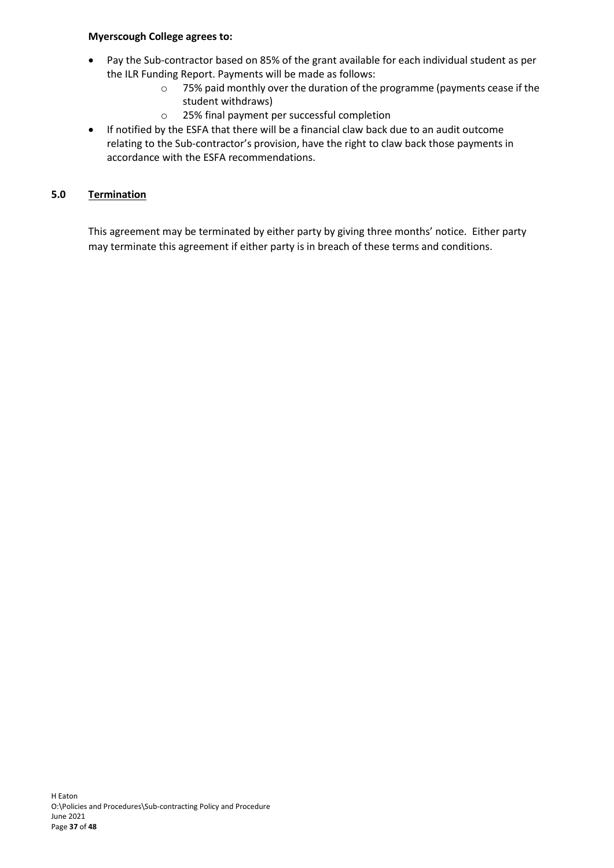# **Myerscough College agrees to:**

- Pay the Sub-contractor based on 85% of the grant available for each individual student as per the ILR Funding Report. Payments will be made as follows:
	- o 75% paid monthly over the duration of the programme (payments cease if the student withdraws)
	- o 25% final payment per successful completion
- If notified by the ESFA that there will be a financial claw back due to an audit outcome relating to the Sub-contractor's provision, have the right to claw back those payments in accordance with the ESFA recommendations.

# **5.0 Termination**

This agreement may be terminated by either party by giving three months' notice. Either party may terminate this agreement if either party is in breach of these terms and conditions.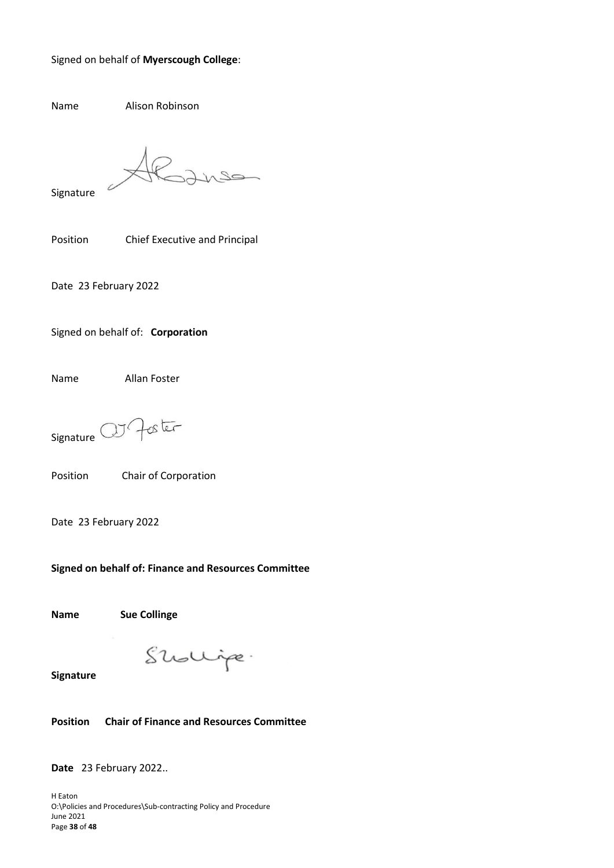#### Signed on behalf of **Myerscough College**:

Name Alison Robinson

Signature

Position Chief Executive and Principal

Date 23 February 2022

Signed on behalf of: **Corporation**

Name Allan Foster

Foster  $JJ$ Signature<sup>(</sup>

Position Chair of Corporation

Date 23 February 2022

**Signed on behalf of: Finance and Resources Committee**

**Name Sue Collinge**

Shollipe.

**Signature** 

**Position Chair of Finance and Resources Committee**

**Date** 23 February 2022..

H Eaton O:\Policies and Procedures\Sub-contracting Policy and Procedure June 2021 Page **38** of **48**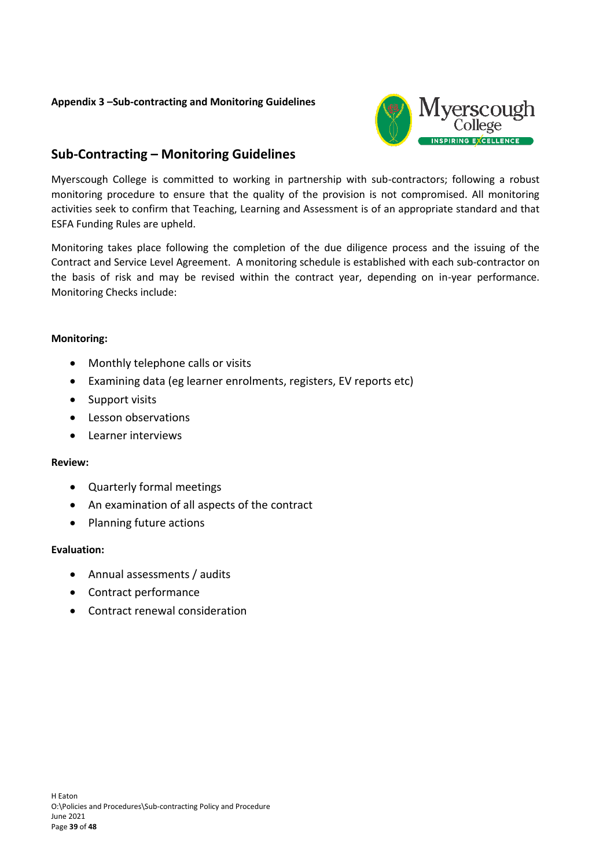# **Appendix 3 –Sub-contracting and Monitoring Guidelines**



# **Sub-Contracting – Monitoring Guidelines**

Myerscough College is committed to working in partnership with sub-contractors; following a robust monitoring procedure to ensure that the quality of the provision is not compromised. All monitoring activities seek to confirm that Teaching, Learning and Assessment is of an appropriate standard and that ESFA Funding Rules are upheld.

Monitoring takes place following the completion of the due diligence process and the issuing of the Contract and Service Level Agreement. A monitoring schedule is established with each sub-contractor on the basis of risk and may be revised within the contract year, depending on in-year performance. Monitoring Checks include:

#### **Monitoring:**

- Monthly telephone calls or visits
- Examining data (eg learner enrolments, registers, EV reports etc)
- Support visits
- Lesson observations
- Learner interviews

# **Review:**

- Quarterly formal meetings
- An examination of all aspects of the contract
- Planning future actions

# **Evaluation:**

- Annual assessments / audits
- Contract performance
- Contract renewal consideration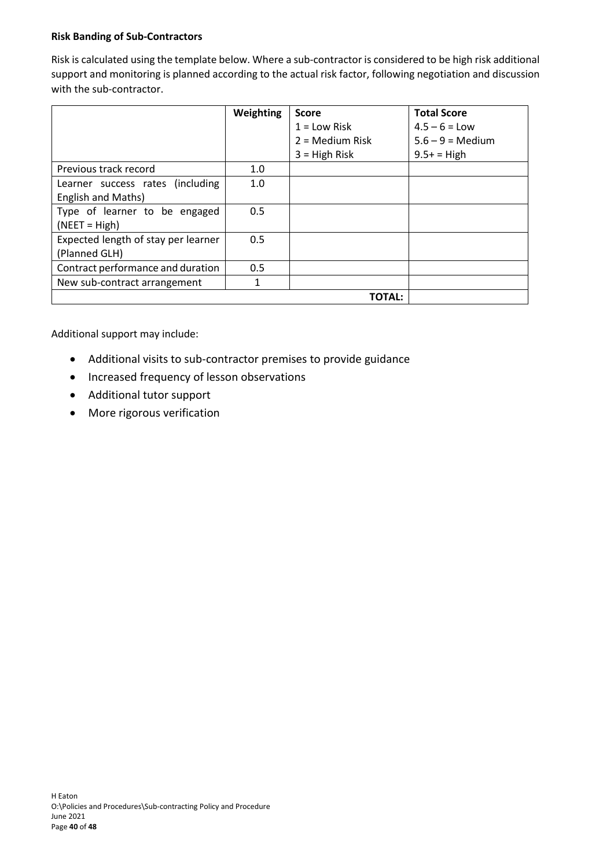# **Risk Banding of Sub-Contractors**

Risk is calculated using the template below. Where a sub-contractor is considered to be high risk additional support and monitoring is planned according to the actual risk factor, following negotiation and discussion with the sub-contractor.

|                                     | Weighting | <b>Score</b>      | <b>Total Score</b>        |
|-------------------------------------|-----------|-------------------|---------------------------|
|                                     |           | $1 =$ Low Risk    | $4.5 - 6 =$ Low           |
|                                     |           | $2 =$ Medium Risk | $5.6 - 9 = \text{Median}$ |
|                                     |           | $3 =$ High Risk   | $9.5+ = High$             |
| Previous track record               | 1.0       |                   |                           |
| Learner success rates (including    | 1.0       |                   |                           |
| English and Maths)                  |           |                   |                           |
| Type of learner to be engaged       | 0.5       |                   |                           |
| $(NEET = High)$                     |           |                   |                           |
| Expected length of stay per learner | 0.5       |                   |                           |
| (Planned GLH)                       |           |                   |                           |
| Contract performance and duration   | 0.5       |                   |                           |
| New sub-contract arrangement        | 1         |                   |                           |
|                                     |           | TOTAL:            |                           |

Additional support may include:

- Additional visits to sub-contractor premises to provide guidance
- Increased frequency of lesson observations
- Additional tutor support
- More rigorous verification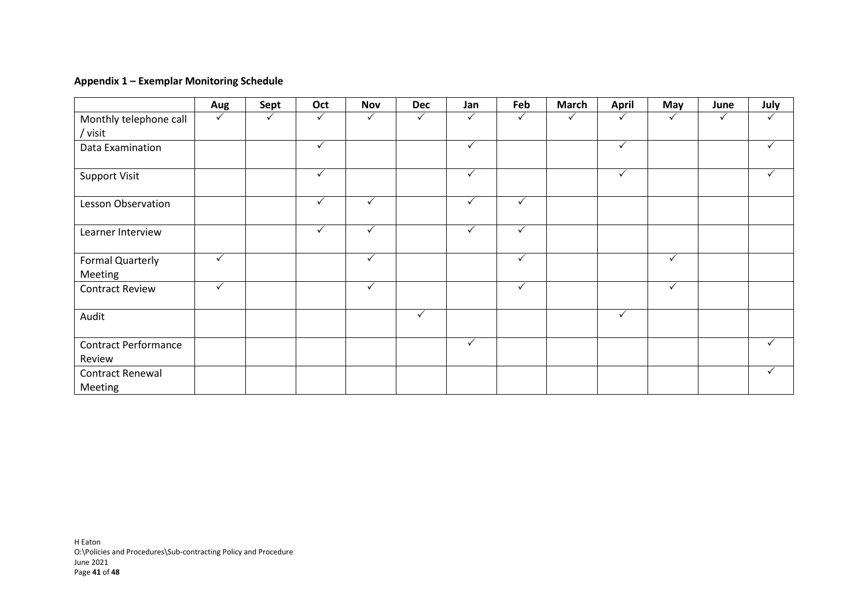### **Appendix 1 – Exemplar Monitoring Schedule**

|                                       | Aug          | Sept | Oct          | <b>Nov</b>   | <b>Dec</b>   | Jan          | Feb          | <b>March</b> | <b>April</b> | May          | June | July         |
|---------------------------------------|--------------|------|--------------|--------------|--------------|--------------|--------------|--------------|--------------|--------------|------|--------------|
| Monthly telephone call<br>/ visit     | $\checkmark$ |      | $\checkmark$ | ✓            |              | ✓            | $\checkmark$ |              |              |              | ✓    |              |
| Data Examination                      |              |      | $\checkmark$ |              |              | $\checkmark$ |              |              | $\checkmark$ |              |      | $\checkmark$ |
| <b>Support Visit</b>                  |              |      | $\checkmark$ |              |              | ✓            |              |              | $\checkmark$ |              |      | $\checkmark$ |
| Lesson Observation                    |              |      | $\checkmark$ | $\checkmark$ |              | $\checkmark$ | $\checkmark$ |              |              |              |      |              |
| Learner Interview                     |              |      | $\checkmark$ | $\checkmark$ |              | $\checkmark$ | $\checkmark$ |              |              |              |      |              |
| Formal Quarterly<br>Meeting           | $\checkmark$ |      |              | ✓            |              |              | $\checkmark$ |              |              | $\checkmark$ |      |              |
| <b>Contract Review</b>                | $\checkmark$ |      |              | $\checkmark$ |              |              | $\checkmark$ |              |              | $\checkmark$ |      |              |
| Audit                                 |              |      |              |              | $\checkmark$ |              |              |              | $\checkmark$ |              |      |              |
| <b>Contract Performance</b><br>Review |              |      |              |              |              | $\checkmark$ |              |              |              |              |      | $\checkmark$ |
| Contract Renewal<br>Meeting           |              |      |              |              |              |              |              |              |              |              |      | ✓            |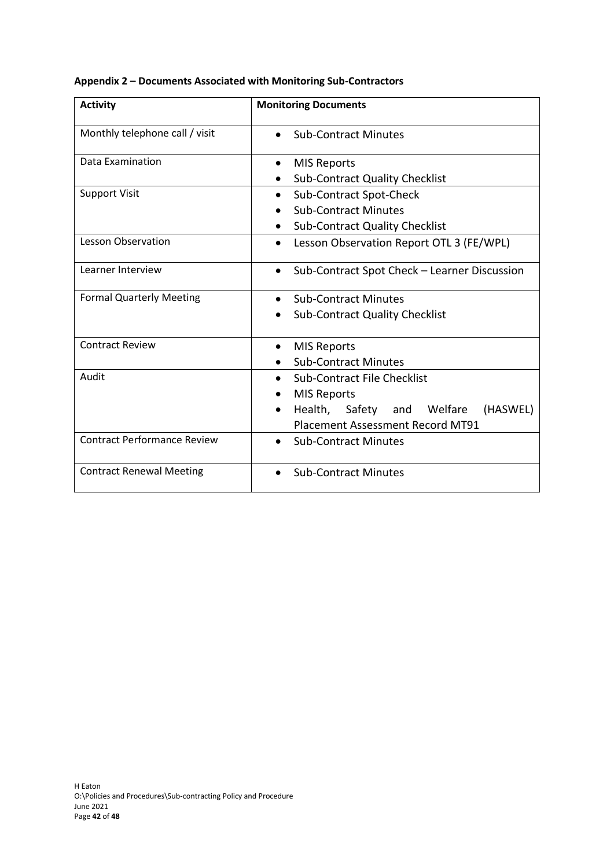| <b>Activity</b>                    | <b>Monitoring Documents</b>                                                                                                                                      |  |  |  |  |
|------------------------------------|------------------------------------------------------------------------------------------------------------------------------------------------------------------|--|--|--|--|
| Monthly telephone call / visit     | <b>Sub-Contract Minutes</b>                                                                                                                                      |  |  |  |  |
| Data Examination                   | <b>MIS Reports</b><br>$\bullet$<br><b>Sub-Contract Quality Checklist</b>                                                                                         |  |  |  |  |
| <b>Support Visit</b>               | Sub-Contract Spot-Check<br>$\bullet$                                                                                                                             |  |  |  |  |
|                                    | <b>Sub-Contract Minutes</b><br><b>Sub-Contract Quality Checklist</b>                                                                                             |  |  |  |  |
| <b>Lesson Observation</b>          | Lesson Observation Report OTL 3 (FE/WPL)<br>$\bullet$                                                                                                            |  |  |  |  |
| Learner Interview                  | Sub-Contract Spot Check - Learner Discussion                                                                                                                     |  |  |  |  |
| <b>Formal Quarterly Meeting</b>    | <b>Sub-Contract Minutes</b><br>$\bullet$<br><b>Sub-Contract Quality Checklist</b><br>$\bullet$                                                                   |  |  |  |  |
| <b>Contract Review</b>             | <b>MIS Reports</b><br>$\bullet$<br><b>Sub-Contract Minutes</b>                                                                                                   |  |  |  |  |
| Audit                              | Sub-Contract File Checklist<br>$\bullet$<br><b>MIS Reports</b><br>Health, Safety and Welfare<br>(HASWEL)<br>$\bullet$<br><b>Placement Assessment Record MT91</b> |  |  |  |  |
| <b>Contract Performance Review</b> | <b>Sub-Contract Minutes</b><br>$\bullet$                                                                                                                         |  |  |  |  |
| <b>Contract Renewal Meeting</b>    | <b>Sub-Contract Minutes</b>                                                                                                                                      |  |  |  |  |

**Appendix 2 – Documents Associated with Monitoring Sub-Contractors**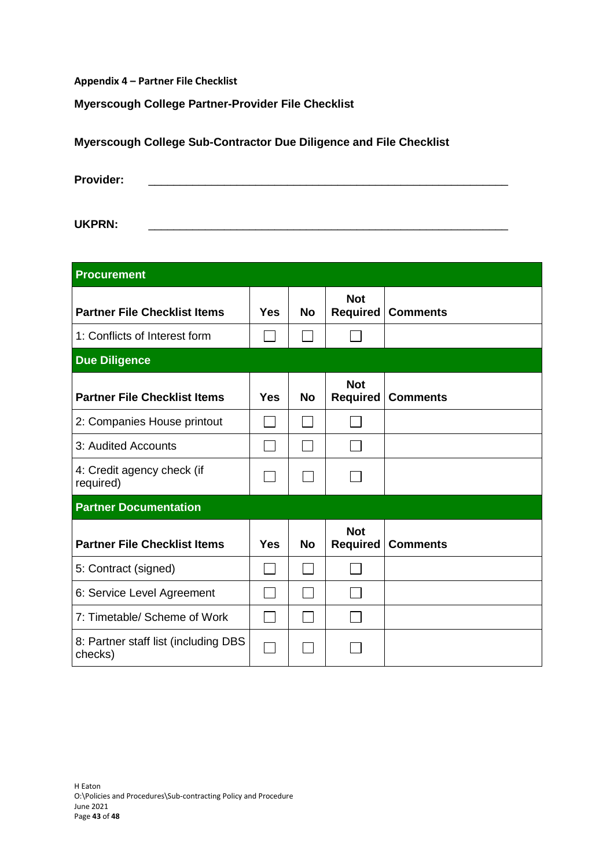**Appendix 4 – Partner File Checklist**

# **Myerscough College Partner-Provider File Checklist**

| <b>Provider:</b> |  |  |  |  |
|------------------|--|--|--|--|
|                  |  |  |  |  |
| <b>UKPRN:</b>    |  |  |  |  |

**Myerscough College Sub-Contractor Due Diligence and File Checklist**

| <b>Procurement</b>                              |            |           |                               |                 |  |  |
|-------------------------------------------------|------------|-----------|-------------------------------|-----------------|--|--|
| <b>Partner File Checklist Items</b>             | Yes        | No        | <b>Not</b><br><b>Required</b> | <b>Comments</b> |  |  |
| 1: Conflicts of Interest form                   |            |           |                               |                 |  |  |
| <b>Due Diligence</b>                            |            |           |                               |                 |  |  |
| <b>Partner File Checklist Items</b>             | Yes        | <b>No</b> | <b>Not</b><br><b>Required</b> | <b>Comments</b> |  |  |
| 2: Companies House printout                     |            |           |                               |                 |  |  |
| 3: Audited Accounts                             |            |           |                               |                 |  |  |
| 4: Credit agency check (if<br>required)         |            |           |                               |                 |  |  |
| <b>Partner Documentation</b>                    |            |           |                               |                 |  |  |
| <b>Partner File Checklist Items</b>             | <b>Yes</b> | <b>No</b> | <b>Not</b><br><b>Required</b> | <b>Comments</b> |  |  |
| 5: Contract (signed)                            |            |           |                               |                 |  |  |
| 6: Service Level Agreement                      |            |           |                               |                 |  |  |
| 7: Timetable/ Scheme of Work                    |            |           |                               |                 |  |  |
| 8: Partner staff list (including DBS<br>checks) |            |           |                               |                 |  |  |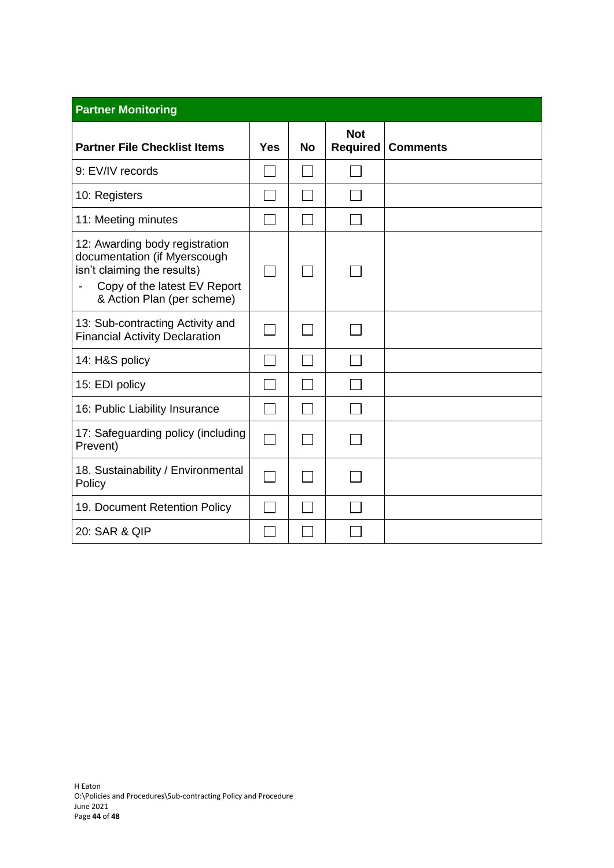| <b>Partner Monitoring</b>                                                                                                                                   |                          |           |                        |                 |  |  |  |
|-------------------------------------------------------------------------------------------------------------------------------------------------------------|--------------------------|-----------|------------------------|-----------------|--|--|--|
| <b>Partner File Checklist Items</b>                                                                                                                         | Yes                      | <b>No</b> | <b>Not</b><br>Required | <b>Comments</b> |  |  |  |
| 9: EV/IV records                                                                                                                                            |                          |           |                        |                 |  |  |  |
| 10: Registers                                                                                                                                               |                          |           |                        |                 |  |  |  |
| 11: Meeting minutes                                                                                                                                         |                          |           |                        |                 |  |  |  |
| 12: Awarding body registration<br>documentation (if Myerscough<br>isn't claiming the results)<br>Copy of the latest EV Report<br>& Action Plan (per scheme) |                          |           |                        |                 |  |  |  |
| 13: Sub-contracting Activity and<br><b>Financial Activity Declaration</b>                                                                                   |                          |           |                        |                 |  |  |  |
| 14: H&S policy                                                                                                                                              |                          |           |                        |                 |  |  |  |
| 15: EDI policy                                                                                                                                              |                          |           |                        |                 |  |  |  |
| 16: Public Liability Insurance                                                                                                                              |                          |           |                        |                 |  |  |  |
| 17: Safeguarding policy (including<br>Prevent)                                                                                                              | $\overline{\phantom{a}}$ |           |                        |                 |  |  |  |
| 18. Sustainability / Environmental<br>Policy                                                                                                                |                          |           |                        |                 |  |  |  |
| 19. Document Retention Policy                                                                                                                               |                          |           |                        |                 |  |  |  |
| 20: SAR & QIP                                                                                                                                               |                          |           |                        |                 |  |  |  |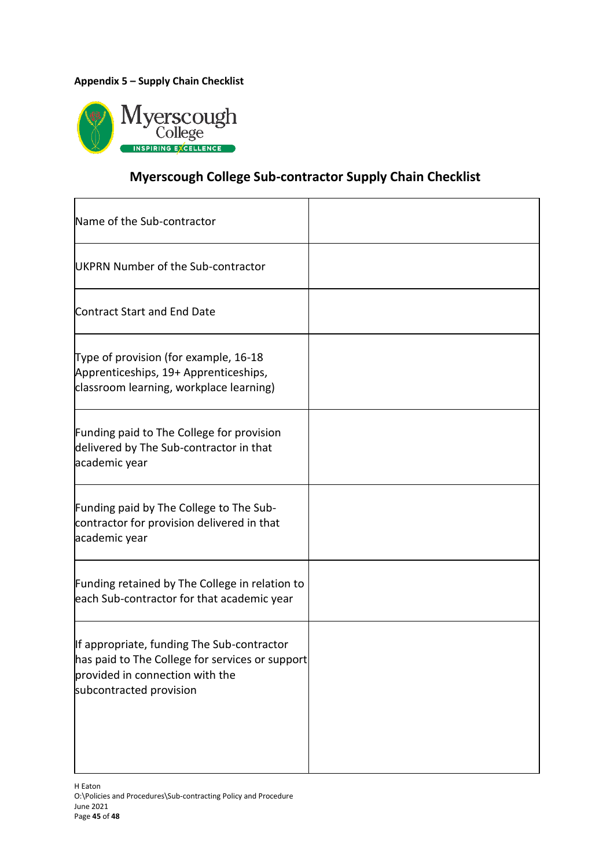# **Appendix 5 – Supply Chain Checklist**



# **Myerscough College Sub-contractor Supply Chain Checklist**

| Name of the Sub-contractor                                                                                                                                  |  |
|-------------------------------------------------------------------------------------------------------------------------------------------------------------|--|
| UKPRN Number of the Sub-contractor                                                                                                                          |  |
| Contract Start and End Date                                                                                                                                 |  |
| Type of provision (for example, 16-18<br>Apprenticeships, 19+ Apprenticeships,<br>classroom learning, workplace learning)                                   |  |
| Funding paid to The College for provision<br>delivered by The Sub-contractor in that<br>academic year                                                       |  |
| Funding paid by The College to The Sub-<br>contractor for provision delivered in that<br>academic year                                                      |  |
| Funding retained by The College in relation to<br>each Sub-contractor for that academic year                                                                |  |
| If appropriate, funding The Sub-contractor<br>has paid to The College for services or support<br>provided in connection with the<br>subcontracted provision |  |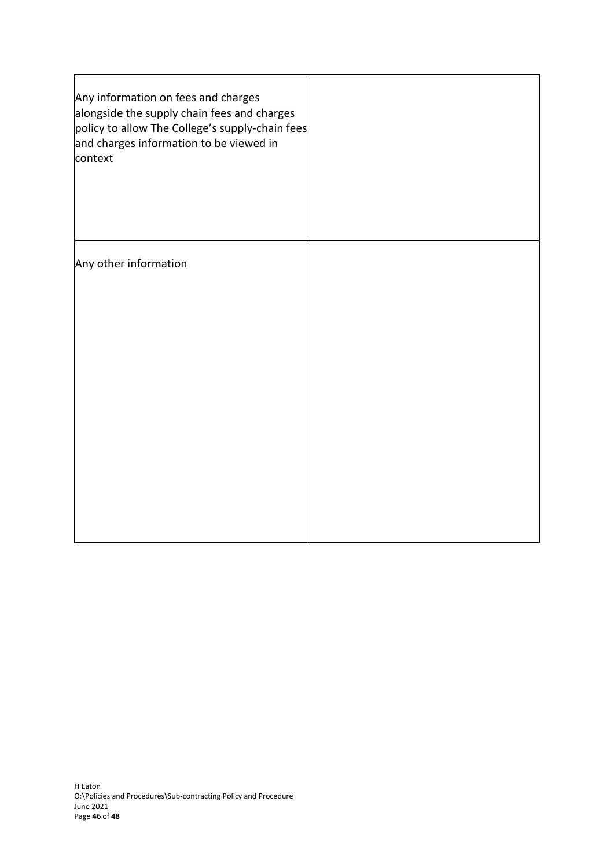| Any information on fees and charges<br>alongside the supply chain fees and charges<br>policy to allow The College's supply-chain fees<br>and charges information to be viewed in<br>context |  |
|---------------------------------------------------------------------------------------------------------------------------------------------------------------------------------------------|--|
| Any other information                                                                                                                                                                       |  |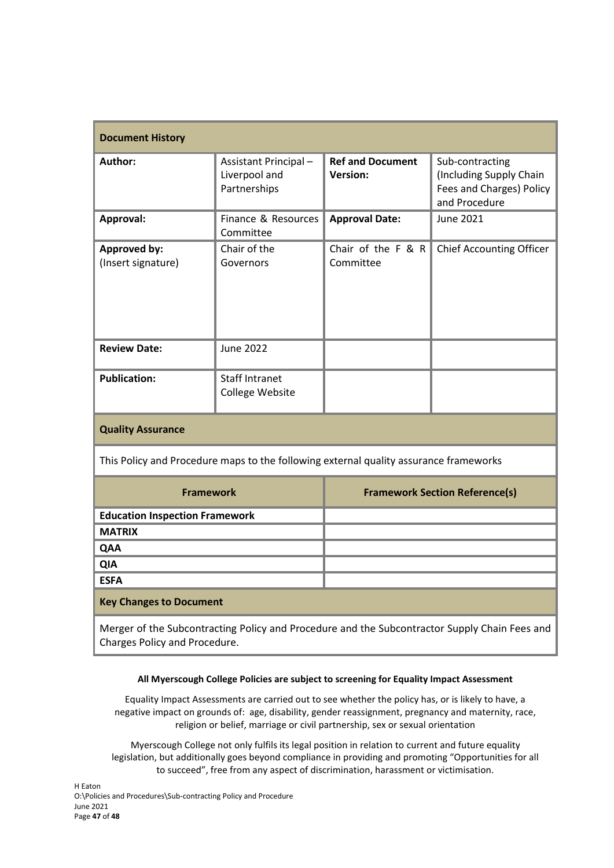| <b>Document History</b>                                                                                                        |                                                       |                                            |                                                                                         |  |  |
|--------------------------------------------------------------------------------------------------------------------------------|-------------------------------------------------------|--------------------------------------------|-----------------------------------------------------------------------------------------|--|--|
| Author:                                                                                                                        | Assistant Principal-<br>Liverpool and<br>Partnerships | <b>Ref and Document</b><br><b>Version:</b> | Sub-contracting<br>(Including Supply Chain<br>Fees and Charges) Policy<br>and Procedure |  |  |
| Approval:                                                                                                                      | Finance & Resources<br>Committee                      | <b>Approval Date:</b>                      | June 2021                                                                               |  |  |
| <b>Approved by:</b><br>(Insert signature)                                                                                      | Chair of the<br>Governors                             | Chair of the F & R<br>Committee            | <b>Chief Accounting Officer</b>                                                         |  |  |
| <b>Review Date:</b>                                                                                                            | <b>June 2022</b>                                      |                                            |                                                                                         |  |  |
| <b>Publication:</b>                                                                                                            | <b>Staff Intranet</b><br>College Website              |                                            |                                                                                         |  |  |
| <b>Quality Assurance</b>                                                                                                       |                                                       |                                            |                                                                                         |  |  |
| This Policy and Procedure maps to the following external quality assurance frameworks                                          |                                                       |                                            |                                                                                         |  |  |
| <b>Framework</b>                                                                                                               |                                                       | <b>Framework Section Reference(s)</b>      |                                                                                         |  |  |
| <b>Education Inspection Framework</b>                                                                                          |                                                       |                                            |                                                                                         |  |  |
| <b>MATRIX</b>                                                                                                                  |                                                       |                                            |                                                                                         |  |  |
| QAA                                                                                                                            |                                                       |                                            |                                                                                         |  |  |
| QIA                                                                                                                            |                                                       |                                            |                                                                                         |  |  |
| <b>ESFA</b>                                                                                                                    |                                                       |                                            |                                                                                         |  |  |
| <b>Key Changes to Document</b>                                                                                                 |                                                       |                                            |                                                                                         |  |  |
| Merger of the Subcontracting Policy and Procedure and the Subcontractor Supply Chain Fees and<br>Charges Policy and Procedure. |                                                       |                                            |                                                                                         |  |  |

#### **All Myerscough College Policies are subject to screening for Equality Impact Assessment**

Equality Impact Assessments are carried out to see whether the policy has, or is likely to have, a negative impact on grounds of: age, disability, gender reassignment, pregnancy and maternity, race, religion or belief, marriage or civil partnership, sex or sexual orientation

Myerscough College not only fulfils its legal position in relation to current and future equality legislation, but additionally goes beyond compliance in providing and promoting "Opportunities for all to succeed", free from any aspect of discrimination, harassment or victimisation.